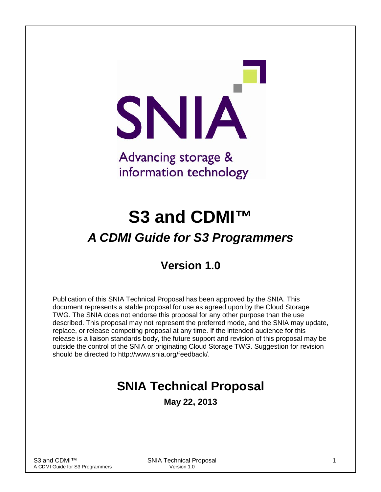SNIA Advancing storage & information technology

# **S3 and CDMI™** *A CDMI Guide for S3 Programmers*

## **Version 1.0**

Publication of this SNIA Technical Proposal has been approved by the SNIA. This document represents a stable proposal for use as agreed upon by the Cloud Storage TWG. The SNIA does not endorse this proposal for any other purpose than the use described. This proposal may not represent the preferred mode, and the SNIA may update, replace, or release competing proposal at any time. If the intended audience for this release is a liaison standards body, the future support and revision of this proposal may be outside the control of the SNIA or originating Cloud Storage TWG. Suggestion for revision should be directed to http://www.snia.org/feedback/.

## **SNIA Technical Proposal**

**May 22, 2013**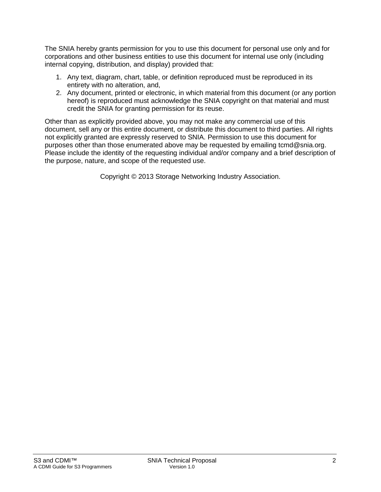The SNIA hereby grants permission for you to use this document for personal use only and for corporations and other business entities to use this document for internal use only (including internal copying, distribution, and display) provided that:

- 1. Any text, diagram, chart, table, or definition reproduced must be reproduced in its entirety with no alteration, and,
- 2. Any document, printed or electronic, in which material from this document (or any portion hereof) is reproduced must acknowledge the SNIA copyright on that material and must credit the SNIA for granting permission for its reuse.

Other than as explicitly provided above, you may not make any commercial use of this document, sell any or this entire document, or distribute this document to third parties. All rights not explicitly granted are expressly reserved to SNIA. Permission to use this document for purposes other than those enumerated above may be requested by emailing tcmd@snia.org. Please include the identity of the requesting individual and/or company and a brief description of the purpose, nature, and scope of the requested use.

Copyright © 2013 Storage Networking Industry Association.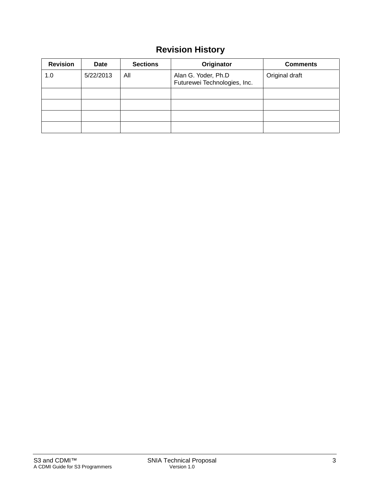## **Revision History**

| <b>Revision</b> | Date      | <b>Sections</b> | Originator                                          | <b>Comments</b> |
|-----------------|-----------|-----------------|-----------------------------------------------------|-----------------|
| 1.0             | 5/22/2013 | All             | Alan G. Yoder, Ph.D<br>Futurewei Technologies, Inc. | Original draft  |
|                 |           |                 |                                                     |                 |
|                 |           |                 |                                                     |                 |
|                 |           |                 |                                                     |                 |
|                 |           |                 |                                                     |                 |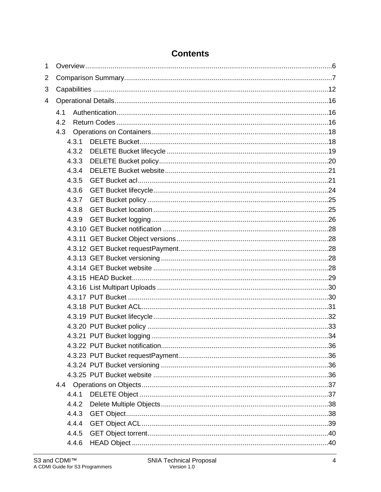| $\mathbf{1}$   |     |       |  |
|----------------|-----|-------|--|
| $\overline{2}$ |     |       |  |
| 3              |     |       |  |
| 4              |     |       |  |
|                | 4.1 |       |  |
|                | 4.2 |       |  |
|                | 4.3 |       |  |
|                |     | 4.3.1 |  |
|                |     | 4.3.2 |  |
|                |     | 4.3.3 |  |
|                |     | 4.3.4 |  |
|                |     | 4.3.5 |  |
|                |     | 4.3.6 |  |
|                |     | 4.3.7 |  |
|                |     | 4.3.8 |  |
|                |     | 4.3.9 |  |
|                |     |       |  |
|                |     |       |  |
|                |     |       |  |
|                |     |       |  |
|                |     |       |  |
|                |     |       |  |
|                |     |       |  |
|                |     |       |  |
|                |     |       |  |
|                |     |       |  |
|                |     |       |  |
|                |     |       |  |
|                |     |       |  |
|                |     |       |  |
|                |     |       |  |
|                |     |       |  |
|                |     |       |  |
|                |     | 4.4.1 |  |
|                |     | 4.4.2 |  |
|                |     | 4.4.3 |  |
|                |     | 4.4.4 |  |
|                |     | 4.4.5 |  |
|                |     | 4.4.6 |  |

## **Contents**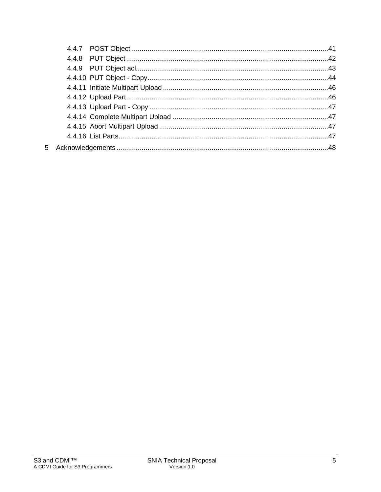| 5 |  |  |
|---|--|--|
|   |  |  |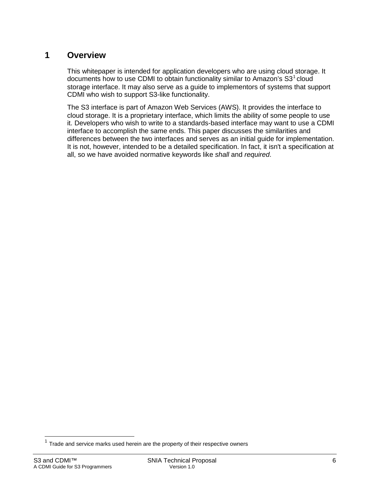### **1 Overview**

This whitepaper is intended for application developers who are using cloud storage. It documents how to use CDMI to obtain functionality similar to Amazon's  $S3<sup>1</sup>$  $S3<sup>1</sup>$  $S3<sup>1</sup>$  cloud storage interface. It may also serve as a guide to implementors of systems that support CDMI who wish to support S3-like functionality.

The S3 interface is part of Amazon Web Services (AWS). It provides the interface to cloud storage. It is a proprietary interface, which limits the ability of some people to use it. Developers who wish to write to a standards-based interface may want to use a CDMI interface to accomplish the same ends. This paper discusses the similarities and differences between the two interfaces and serves as an initial guide for implementation. It is not, however, intended to be a detailed specification. In fact, it isn't a specification at all, so we have avoided normative keywords like *shall* and *required*.

 $\overline{a}$ 

<span id="page-5-0"></span> $1$  Trade and service marks used herein are the property of their respective owners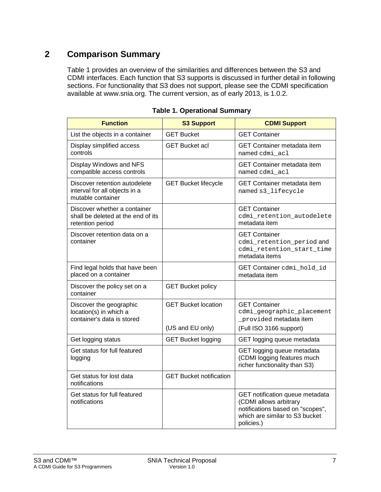## **2 Comparison Summary**

[Table 1](#page-6-0) provides an overview of the similarities and differences between the S3 and CDMI interfaces. Each function that S3 supports is discussed in further detail in following sections. For functionality that S3 does not support, please see the CDMI specification available at www.snia.org. The current version, as of early 2013, is 1.0.2.

<span id="page-6-0"></span>

| <b>Function</b>                                                                        | <b>S3 Support</b>              | <b>CDMI Support</b>                                                                                                                           |
|----------------------------------------------------------------------------------------|--------------------------------|-----------------------------------------------------------------------------------------------------------------------------------------------|
| List the objects in a container                                                        | <b>GET Bucket</b>              | <b>GET Container</b>                                                                                                                          |
| Display simplified access<br>controls                                                  | <b>GET Bucket acl</b>          | GET Container metadata item<br>named cdmi acl                                                                                                 |
| Display Windows and NFS<br>compatible access controls                                  |                                | <b>GET Container metadata item</b><br>named cdmi acl                                                                                          |
| Discover retention autodelete<br>interval for all objects in a<br>mutable container    | <b>GET Bucket lifecycle</b>    | <b>GET Container metadata item</b><br>named s3_lifecycle                                                                                      |
| Discover whether a container<br>shall be deleted at the end of its<br>retention period |                                | <b>GET Container</b><br>cdmi_retention_autodelete<br>metadata item                                                                            |
| Discover retention data on a<br>container                                              |                                | <b>GET Container</b><br>cdmi_retention_period and<br>cdmi_retention_start_time<br>metadata items                                              |
| Find legal holds that have been<br>placed on a container                               |                                | GET Container cdmi_hold_id<br>metadata item                                                                                                   |
| Discover the policy set on a<br>container                                              | <b>GET Bucket policy</b>       |                                                                                                                                               |
| Discover the geographic<br>location(s) in which a<br>container's data is stored        | <b>GET Bucket location</b>     | <b>GET Container</b><br>cdmi_geographic_placement<br>_provided metadata item                                                                  |
|                                                                                        | (US and EU only)               | (Full ISO 3166 support)                                                                                                                       |
| Get logging status                                                                     | <b>GET Bucket logging</b>      | GET logging queue metadata                                                                                                                    |
| Get status for full featured<br>logging                                                |                                | GET logging queue metadata<br>(CDMI logging features much<br>richer functionality than S3)                                                    |
| Get status for lost data<br>notifications                                              | <b>GET Bucket notification</b> |                                                                                                                                               |
| Get status for full featured<br>notifications                                          |                                | GET notification queue metadata<br>(CDMI allows arbitrary<br>notifications based on "scopes",<br>which are similar to S3 bucket<br>policies.) |

**Table 1. Operational Summary**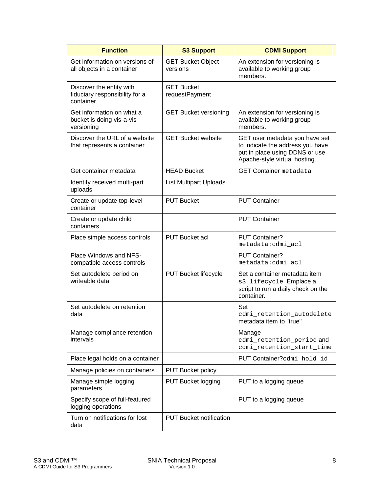| <b>Function</b>                                                         | <b>S3 Support</b>                    | <b>CDMI Support</b>                                                                                                                   |
|-------------------------------------------------------------------------|--------------------------------------|---------------------------------------------------------------------------------------------------------------------------------------|
| Get information on versions of<br>all objects in a container            | <b>GET Bucket Object</b><br>versions | An extension for versioning is<br>available to working group<br>members.                                                              |
| Discover the entity with<br>fiduciary responsibility for a<br>container | <b>GET Bucket</b><br>requestPayment  |                                                                                                                                       |
| Get information on what a<br>bucket is doing vis-a-vis<br>versioning    | <b>GET Bucket versioning</b>         | An extension for versioning is<br>available to working group<br>members.                                                              |
| Discover the URL of a website<br>that represents a container            | <b>GET Bucket website</b>            | GET user metadata you have set<br>to indicate the address you have<br>put in place using DDNS or use<br>Apache-style virtual hosting. |
| Get container metadata                                                  | <b>HEAD Bucket</b>                   | <b>GET Container metadata</b>                                                                                                         |
| Identify received multi-part<br>uploads                                 | <b>List Multipart Uploads</b>        |                                                                                                                                       |
| Create or update top-level<br>container                                 | <b>PUT Bucket</b>                    | <b>PUT Container</b>                                                                                                                  |
| Create or update child<br>containers                                    |                                      | <b>PUT Container</b>                                                                                                                  |
| Place simple access controls                                            | <b>PUT Bucket acl</b>                | PUT Container?<br>metadata:cdmi_acl                                                                                                   |
| Place Windows and NFS-<br>compatible access controls                    |                                      | <b>PUT Container?</b><br>metadata:cdmi_acl                                                                                            |
| Set autodelete period on<br>writeable data                              | <b>PUT Bucket lifecycle</b>          | Set a container metadata item<br>s3_lifecycle. Emplace a<br>script to run a daily check on the<br>container.                          |
| Set autodelete on retention<br>data                                     |                                      | Set<br>cdmi retention autodelete<br>metadata item to "true"                                                                           |
| Manage compliance retention<br>intervals                                |                                      | Manage<br>cdmi_retention_period and<br>cdmi_retention_start_time                                                                      |
| Place legal holds on a container                                        |                                      | PUT Container?cdmi_hold_id                                                                                                            |
| Manage policies on containers                                           | <b>PUT Bucket policy</b>             |                                                                                                                                       |
| Manage simple logging<br>parameters                                     | <b>PUT Bucket logging</b>            | PUT to a logging queue                                                                                                                |
| Specify scope of full-featured<br>logging operations                    |                                      | PUT to a logging queue                                                                                                                |
| Turn on notifications for lost<br>data                                  | <b>PUT Bucket notification</b>       |                                                                                                                                       |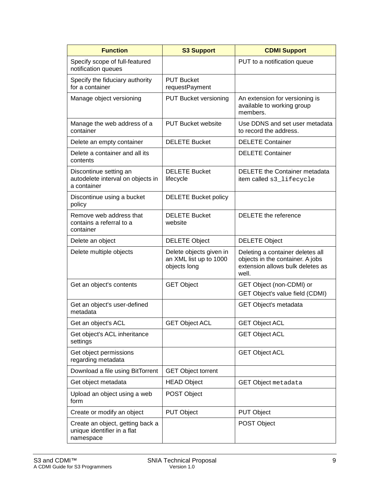| <b>Function</b>                                                              | <b>S3 Support</b>                                                 | <b>CDMI Support</b>                                                                                               |
|------------------------------------------------------------------------------|-------------------------------------------------------------------|-------------------------------------------------------------------------------------------------------------------|
| Specify scope of full-featured<br>notification queues                        |                                                                   | PUT to a notification queue                                                                                       |
| Specify the fiduciary authority<br>for a container                           | <b>PUT Bucket</b><br>requestPayment                               |                                                                                                                   |
| Manage object versioning                                                     | <b>PUT Bucket versioning</b>                                      | An extension for versioning is<br>available to working group<br>members.                                          |
| Manage the web address of a<br>container                                     | <b>PUT Bucket website</b>                                         | Use DDNS and set user metadata<br>to record the address.                                                          |
| Delete an empty container                                                    | <b>DELETE Bucket</b>                                              | <b>DELETE Container</b>                                                                                           |
| Delete a container and all its<br>contents                                   |                                                                   | <b>DELETE Container</b>                                                                                           |
| Discontinue setting an<br>autodelete interval on objects in<br>a container   | <b>DELETE Bucket</b><br>lifecycle                                 | <b>DELETE</b> the Container metadata<br>item called s3_lifecycle                                                  |
| Discontinue using a bucket<br>policy                                         | <b>DELETE Bucket policy</b>                                       |                                                                                                                   |
| Remove web address that<br>contains a referral to a<br>container             | <b>DELETE Bucket</b><br>website                                   | DELETE the reference                                                                                              |
| Delete an object                                                             | <b>DELETE Object</b>                                              | <b>DELETE Object</b>                                                                                              |
| Delete multiple objects                                                      | Delete objects given in<br>an XML list up to 1000<br>objects long | Deleting a container deletes all<br>objects in the container. A jobs<br>extension allows bulk deletes as<br>well. |
| Get an object's contents                                                     | <b>GET Object</b>                                                 | GET Object (non-CDMI) or<br>GET Object's value field (CDMI)                                                       |
| Get an object's user-defined<br>metadata                                     |                                                                   | GET Object's metadata                                                                                             |
| Get an object's ACL                                                          | <b>GET Object ACL</b>                                             | <b>GET Object ACL</b>                                                                                             |
| Get object's ACL inheritance<br>settings                                     |                                                                   | <b>GET Object ACL</b>                                                                                             |
| Get object permissions<br>regarding metadata                                 |                                                                   | <b>GET Object ACL</b>                                                                                             |
| Download a file using BitTorrent                                             | <b>GET Object torrent</b>                                         |                                                                                                                   |
| Get object metadata                                                          | <b>HEAD Object</b>                                                | <b>GET Object metadata</b>                                                                                        |
| Upload an object using a web<br>form                                         | POST Object                                                       |                                                                                                                   |
| Create or modify an object                                                   | <b>PUT Object</b>                                                 | <b>PUT Object</b>                                                                                                 |
| Create an object, getting back a<br>unique identifier in a flat<br>namespace |                                                                   | POST Object                                                                                                       |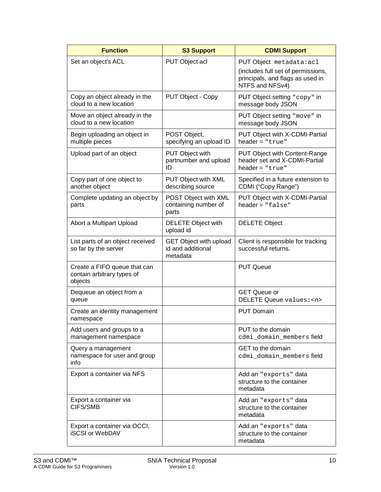| <b>Function</b>                                                       | <b>S3 Support</b>                                              | <b>CDMI Support</b>                                                                                                   |
|-----------------------------------------------------------------------|----------------------------------------------------------------|-----------------------------------------------------------------------------------------------------------------------|
| Set an object's ACL                                                   | PUT Object acl                                                 | PUT Object metadata: acl<br>(includes full set of permissions,<br>principals, and flags as used in<br>NTFS and NFSv4) |
| Copy an object already in the<br>cloud to a new location              | PUT Object - Copy                                              | PUT Object setting "copy" in<br>message body JSON                                                                     |
| Move an object already in the<br>cloud to a new location              |                                                                | PUT Object setting "move" in<br>message body JSON                                                                     |
| Begin uploading an object in<br>multiple pieces                       | POST Object,<br>specifying an upload ID                        | PUT Object with X-CDMI-Partial<br>$header = "true"$                                                                   |
| Upload part of an object                                              | <b>PUT Object with</b><br>partnumber and upload<br>ID          | <b>PUT Object with Content-Range</b><br>header set and X-CDMI-Partial<br>$header = "true"$                            |
| Copy part of one object to<br>another object                          | PUT Object with XML<br>describing source                       | Specified in a future extension to<br>CDMI ("Copy Range")                                                             |
| Complete updating an object by<br>parts                               | POST Object with XML<br>containing number of<br>parts          | PUT Object with X-CDMI-Partial<br>$header = "false"$                                                                  |
| Abort a Multipart Upload                                              | <b>DELETE Object with</b><br>upload id                         | <b>DELETE Object</b>                                                                                                  |
| List parts of an object received<br>so far by the server              | <b>GET Object with upload</b><br>id and additional<br>metadata | Client is responsible for tracking<br>successful returns.                                                             |
| Create a FIFO queue that can<br>contain arbitrary types of<br>objects |                                                                | <b>PUT Queue</b>                                                                                                      |
| Dequeue an object from a<br>queue                                     |                                                                | <b>GET Queue or</b><br>DELETE Queue values: <n></n>                                                                   |
| Create an identity management<br>namespace                            |                                                                | <b>PUT Domain</b>                                                                                                     |
| Add users and groups to a<br>management namespace                     |                                                                | PUT to the domain<br>cdmi_domain_membersfield                                                                         |
| Query a management<br>namespace for user and group<br>info            |                                                                | <b>GET</b> to the domain<br>cdmi_domain_membersfield                                                                  |
| Export a container via NFS                                            |                                                                | Add an "exports" data<br>structure to the container<br>metadata                                                       |
| Export a container via<br>CIFS/SMB                                    |                                                                | Add an "exports" data<br>structure to the container<br>metadata                                                       |
| Export a container via OCCI,<br><b>iSCSI or WebDAV</b>                |                                                                | Add an "exports" data<br>structure to the container<br>metadata                                                       |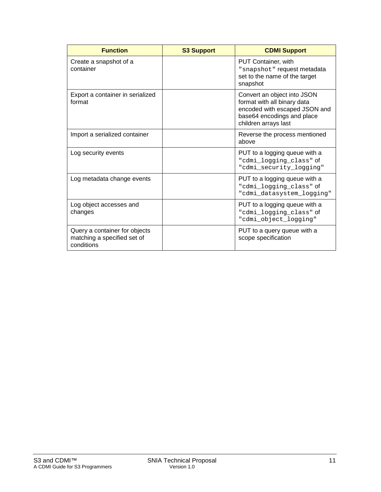| <b>Function</b>                                                            | <b>S3 Support</b> | <b>CDMI Support</b>                                                                                                                               |
|----------------------------------------------------------------------------|-------------------|---------------------------------------------------------------------------------------------------------------------------------------------------|
| Create a snapshot of a<br>container                                        |                   | <b>PUT Container, with</b><br>"snapshot" request metadata<br>set to the name of the target<br>snapshot                                            |
| Export a container in serialized<br>format                                 |                   | Convert an object into JSON<br>format with all binary data<br>encoded with escaped JSON and<br>base64 encodings and place<br>children arrays last |
| Import a serialized container                                              |                   | Reverse the process mentioned<br>above                                                                                                            |
| Log security events                                                        |                   | PUT to a logging queue with a<br>"cdmi_logging_class" of<br>"cdmi_security_logging"                                                               |
| Log metadata change events                                                 |                   | PUT to a logging queue with a<br>"cdmi_logging_class" of<br>"cdmi datasystem logging"                                                             |
| Log object accesses and<br>changes                                         |                   | PUT to a logging queue with a<br>"cdmi_logging_class" of<br>"cdmi_object_logging"                                                                 |
| Query a container for objects<br>matching a specified set of<br>conditions |                   | PUT to a query queue with a<br>scope specification                                                                                                |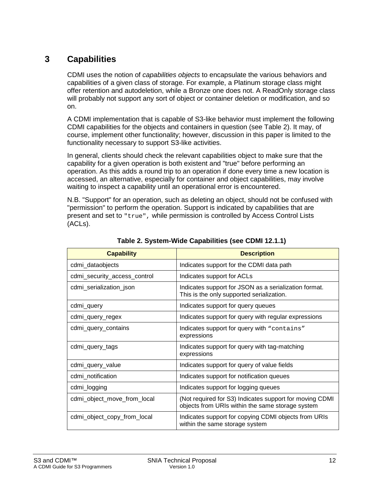## <span id="page-11-1"></span>**3 Capabilities**

CDMI uses the notion of *capabilities objects* to encapsulate the various behaviors and capabilities of a given class of storage. For example, a Platinum storage class might offer retention and autodeletion, while a Bronze one does not. A ReadOnly storage class will probably not support any sort of object or container deletion or modification, and so on.

A CDMI implementation that is capable of S3-like behavior must implement the following CDMI capabilities for the objects and containers in question (see [Table 2\)](#page-11-0). It may, of course, implement other functionality; however, discussion in this paper is limited to the functionality necessary to support S3-like activities.

In general, clients should check the relevant capabilities object to make sure that the capability for a given operation is both existent and "true" before performing an operation. As this adds a round trip to an operation if done every time a new location is accessed, an alternative, especially for container and object capabilities, may involve waiting to inspect a capability until an operational error is encountered.

N.B. "Support" for an operation, such as deleting an object, should not be confused with "permission" to perform the operation. Support is indicated by capabilities that are present and set to "true", while permission is controlled by Access Control Lists (ACLs).

<span id="page-11-0"></span>

| <b>Capability</b>            | <b>Description</b>                                                                                          |
|------------------------------|-------------------------------------------------------------------------------------------------------------|
| cdmi_dataobjects             | Indicates support for the CDMI data path                                                                    |
| cdmi_security_access_control | Indicates support for ACLs                                                                                  |
| cdmi_serialization_json      | Indicates support for JSON as a serialization format.<br>This is the only supported serialization.          |
| cdmi_query                   | Indicates support for query queues                                                                          |
| cdmi_query_regex             | Indicates support for query with regular expressions                                                        |
| cdmi_query_contains          | Indicates support for query with "contains"<br>expressions                                                  |
| cdmi_query_tags              | Indicates support for query with tag-matching<br>expressions                                                |
| cdmi_query_value             | Indicates support for query of value fields                                                                 |
| cdmi_notification            | Indicates support for notification queues                                                                   |
| cdmi_logging                 | Indicates support for logging queues                                                                        |
| cdmi_object_move_from_local  | (Not required for S3) Indicates support for moving CDMI<br>objects from URIs within the same storage system |
| cdmi_object_copy_from_local  | Indicates support for copying CDMI objects from URIs<br>within the same storage system                      |

**Table 2. System-Wide Capabilities (see CDMI 12.1.1)**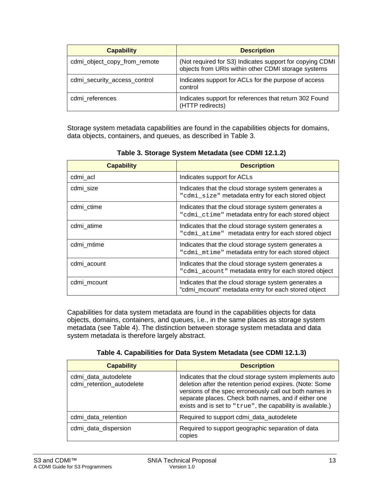| <b>Capability</b>            | <b>Description</b>                                                                                              |
|------------------------------|-----------------------------------------------------------------------------------------------------------------|
| cdmi_object_copy_from_remote | (Not required for S3) Indicates support for copying CDMI<br>objects from URIs within other CDMI storage systems |
| cdmi_security_access_control | Indicates support for ACLs for the purpose of access<br>control                                                 |
| cdmi references              | Indicates support for references that return 302 Found<br>(HTTP redirects)                                      |

Storage system metadata capabilities are found in the capabilities objects for domains, data objects, containers, and queues, as described in [Table 3.](#page-12-0)

<span id="page-12-0"></span>

| <b>Capability</b> | <b>Description</b>                                                                                         |
|-------------------|------------------------------------------------------------------------------------------------------------|
| cdmi_acl          | Indicates support for ACLs                                                                                 |
| cdmi size         | Indicates that the cloud storage system generates a<br>"cdmi_size" metadata entry for each stored object   |
| cdmi_ctime        | Indicates that the cloud storage system generates a<br>"cdmi_ctime" metadata entry for each stored object  |
| cdmi atime        | Indicates that the cloud storage system generates a<br>"cdmi atime" metadata entry for each stored object  |
| cdmi_mtime        | Indicates that the cloud storage system generates a<br>"cdmi_mtime" metadata entry for each stored object  |
| cdmi acount       | Indicates that the cloud storage system generates a<br>"cdmi_acount" metadata entry for each stored object |
| cdmi mcount       | Indicates that the cloud storage system generates a<br>"cdmi_mcount" metadata entry for each stored object |

**Table 3. Storage System Metadata (see CDMI 12.1.2)**

Capabilities for data system metadata are found in the capabilities objects for data objects, domains, containers, and queues, i.e., in the same places as storage system metadata (see [Table 4\)](#page-12-1). The distinction between storage system metadata and data system metadata is therefore largely abstract.

**Table 4. Capabilities for Data System Metadata (see CDMI 12.1.3)**

<span id="page-12-1"></span>

| <b>Capability</b>                                 | <b>Description</b>                                                                                                                                                                                                                                                                                   |
|---------------------------------------------------|------------------------------------------------------------------------------------------------------------------------------------------------------------------------------------------------------------------------------------------------------------------------------------------------------|
| cdmi_data_autodelete<br>cdmi_retention_autodelete | Indicates that the cloud storage system implements auto<br>deletion after the retention period expires. (Note: Some<br>versions of the spec erroneously call out both names in<br>separate places. Check both names, and if either one<br>exists and is set to "true", the capability is available.) |
| cdmi_data_retention                               | Required to support cdmi_data_autodelete                                                                                                                                                                                                                                                             |
| cdmi_data_dispersion                              | Required to support geographic separation of data<br>copies                                                                                                                                                                                                                                          |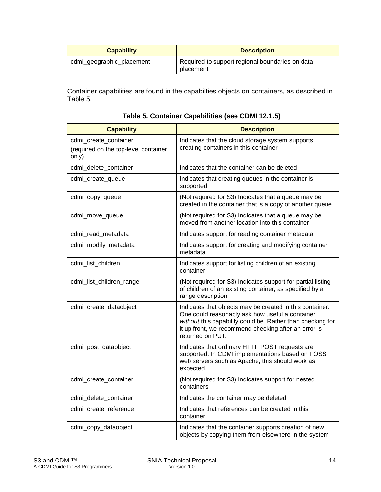| <b>Capability</b>         | <b>Description</b>                                           |
|---------------------------|--------------------------------------------------------------|
| cdmi_geographic_placement | Required to support regional boundaries on data<br>placement |

Container capabilities are found in the capabilties objects on containers, as described in [Table 5.](#page-13-0)

<span id="page-13-0"></span>

| <b>Capability</b>                                                       | <b>Description</b>                                                                                                                                                                                                                                    |
|-------------------------------------------------------------------------|-------------------------------------------------------------------------------------------------------------------------------------------------------------------------------------------------------------------------------------------------------|
| cdmi_create_container<br>(required on the top-level container<br>only). | Indicates that the cloud storage system supports<br>creating containers in this container                                                                                                                                                             |
| cdmi_delete_container                                                   | Indicates that the container can be deleted                                                                                                                                                                                                           |
| cdmi_create_queue                                                       | Indicates that creating queues in the container is<br>supported                                                                                                                                                                                       |
| cdmi_copy_queue                                                         | (Not required for S3) Indicates that a queue may be<br>created in the container that is a copy of another queue                                                                                                                                       |
| cdmi_move_queue                                                         | (Not required for S3) Indicates that a queue may be<br>moved from another location into this container                                                                                                                                                |
| cdmi_read_metadata                                                      | Indicates support for reading container metadata                                                                                                                                                                                                      |
| cdmi_modify_metadata                                                    | Indicates support for creating and modifying container<br>metadata                                                                                                                                                                                    |
| cdmi_list_children                                                      | Indicates support for listing children of an existing<br>container                                                                                                                                                                                    |
| cdmi_list_children_range                                                | (Not required for S3) Indicates support for partial listing<br>of children of an existing container, as specified by a<br>range description                                                                                                           |
| cdmi_create_dataobject                                                  | Indicates that objects may be created in this container.<br>One could reasonably ask how useful a container<br>without this capability could be. Rather than checking for<br>it up front, we recommend checking after an error is<br>returned on PUT. |
| cdmi_post_dataobject                                                    | Indicates that ordinary HTTP POST requests are<br>supported. In CDMI implementations based on FOSS<br>web servers such as Apache, this should work as<br>expected.                                                                                    |
| cdmi_create_container                                                   | (Not required for S3) Indicates support for nested<br>containers                                                                                                                                                                                      |
| cdmi_delete_container                                                   | Indicates the container may be deleted                                                                                                                                                                                                                |
| cdmi_create_reference                                                   | Indicates that references can be created in this<br>container                                                                                                                                                                                         |
| cdmi_copy_dataobject                                                    | Indicates that the container supports creation of new<br>objects by copying them from elsewhere in the system                                                                                                                                         |

**Table 5. Container Capabilities (see CDMI 12.1.5)**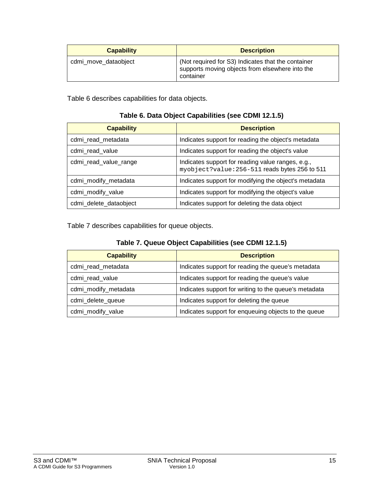| <b>Capability</b>    | <b>Description</b>                                                                                                 |
|----------------------|--------------------------------------------------------------------------------------------------------------------|
| cdmi_move_dataobject | (Not required for S3) Indicates that the container<br>supports moving objects from elsewhere into the<br>container |

<span id="page-14-0"></span>[Table 6](#page-14-0) describes capabilities for data objects.

| <b>Capability</b>      | <b>Description</b>                                                                                  |
|------------------------|-----------------------------------------------------------------------------------------------------|
| cdmi_read_metadata     | Indicates support for reading the object's metadata                                                 |
| cdmi_read_value        | Indicates support for reading the object's value                                                    |
| cdmi_read_value_range  | Indicates support for reading value ranges, e.g.,<br>myobject?value: 256-511 reads bytes 256 to 511 |
| cdmi_modify_metadata   | Indicates support for modifying the object's metadata                                               |
| cdmi_modify_value      | Indicates support for modifying the object's value                                                  |
| cdmi_delete_dataobject | Indicates support for deleting the data object                                                      |

<span id="page-14-1"></span>[Table 7](#page-14-1) describes capabilities for queue objects.

| <b>Capability</b>    | <b>Description</b>                                    |
|----------------------|-------------------------------------------------------|
| cdmi_read_metadata   | Indicates support for reading the queue's metadata    |
| cdmi_read_value      | Indicates support for reading the queue's value       |
| cdmi_modify_metadata | Indicates support for writing to the queue's metadata |
| cdmi_delete_queue    | Indicates support for deleting the queue              |
| cdmi_modify_value    | Indicates support for enqueuing objects to the queue  |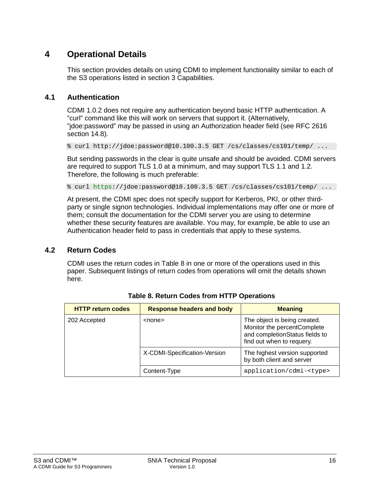### **4 Operational Details**

This section provides details on using CDMI to implement functionality similar to each of the S3 operations listed in section [3](#page-11-1) [Capabilities.](#page-11-1)

#### **4.1 Authentication**

CDMI 1.0.2 does not require any authentication beyond basic HTTP authentication. A "curl" command like this will work on servers that support it. (Alternatively, "jdoe:password" may be passed in using an Authorization header field (see RFC 2616 section 14.8).

% curl http://jdoe:password@10.100.3.5 GET /cs/classes/cs101/temp/ ...

But sending passwords in the clear is quite unsafe and should be avoided. CDMI servers are required to support TLS 1.0 at a minimum, and may support TLS 1.1 and 1.2. Therefore, the following is much preferable:

% curl https://jdoe:password@10.100.3.5 GET /cs/classes/cs101/temp/ ...

At present, the CDMI spec does not specify support for Kerberos, PKI, or other thirdparty or single signon technologies. Individual implementations may offer one or more of them; consult the documentation for the CDMI server you are using to determine whether these security features are available. You may, for example, be able to use an Authentication header field to pass in credentials that apply to these systems.

#### **4.2 Return Codes**

CDMI uses the return codes in [Table 8](#page-15-0) in one or more of the operations used in this paper. Subsequent listings of return codes from operations will omit the details shown here.

<span id="page-15-0"></span>

| <b>HTTP return codes</b> | <b>Response headers and body</b> | <b>Meaning</b>                                                                                                             |
|--------------------------|----------------------------------|----------------------------------------------------------------------------------------------------------------------------|
| 202 Accepted             | <none></none>                    | The object is being created.<br>Monitor the percentComplete<br>and completionStatus fields to<br>find out when to requery. |
|                          | X-CDMI-Specification-Version     | The highest version supported<br>by both client and server                                                                 |
|                          | Content-Type                     | application/cdmi- <type></type>                                                                                            |

**Table 8. Return Codes from HTTP Operations**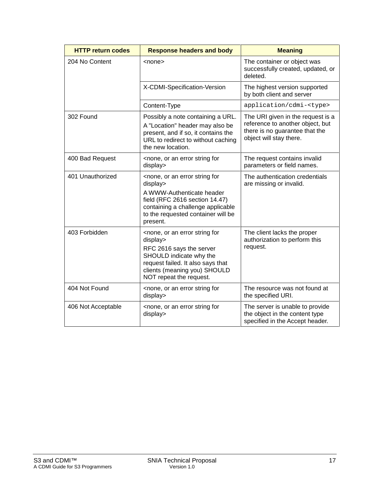| <b>HTTP return codes</b> | <b>Response headers and body</b>                                                                                                                                                                                                | <b>Meaning</b>                                                                                                                     |
|--------------------------|---------------------------------------------------------------------------------------------------------------------------------------------------------------------------------------------------------------------------------|------------------------------------------------------------------------------------------------------------------------------------|
| 204 No Content           | <none></none>                                                                                                                                                                                                                   | The container or object was<br>successfully created, updated, or<br>deleted.                                                       |
|                          | X-CDMI-Specification-Version                                                                                                                                                                                                    | The highest version supported<br>by both client and server                                                                         |
|                          | Content-Type                                                                                                                                                                                                                    | application/cdmi- <type></type>                                                                                                    |
| 302 Found                | Possibly a note containing a URL.<br>A "Location" header may also be<br>present, and if so, it contains the<br>URL to redirect to without caching<br>the new location.                                                          | The URI given in the request is a<br>reference to another object, but<br>there is no guarantee that the<br>object will stay there. |
| 400 Bad Request          | <none, an="" error="" for<br="" or="" string="">display&gt;</none,>                                                                                                                                                             | The request contains invalid<br>parameters or field names.                                                                         |
| 401 Unauthorized         | <none, an="" error="" for<br="" or="" string="">display&gt;<br/>A WWW-Authenticate header<br/>field (RFC 2616 section 14.47)<br/>containing a challenge applicable<br/>to the requested container will be<br/>present.</none,>  | The authentication credentials<br>are missing or invalid.                                                                          |
| 403 Forbidden            | <none, an="" error="" for<br="" or="" string="">display&gt;<br/>RFC 2616 says the server<br/>SHOULD indicate why the<br/>request failed. It also says that<br/>clients (meaning you) SHOULD<br/>NOT repeat the request.</none,> | The client lacks the proper<br>authorization to perform this<br>request.                                                           |
| 404 Not Found            | <none, an="" error="" for<br="" or="" string="">display&gt;</none,>                                                                                                                                                             | The resource was not found at<br>the specified URI.                                                                                |
| 406 Not Acceptable       | <none, an="" error="" for<br="" or="" string="">display&gt;</none,>                                                                                                                                                             | The server is unable to provide<br>the object in the content type<br>specified in the Accept header.                               |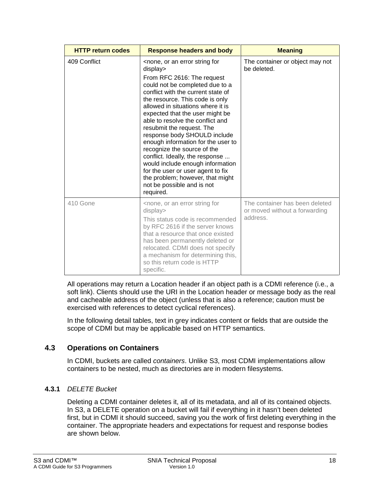| <b>HTTP return codes</b> | <b>Response headers and body</b>                                                                                                                                                                                                                                                                                                                                                                                                                                                                                                                                                                                                                                         | <b>Meaning</b>                                                              |
|--------------------------|--------------------------------------------------------------------------------------------------------------------------------------------------------------------------------------------------------------------------------------------------------------------------------------------------------------------------------------------------------------------------------------------------------------------------------------------------------------------------------------------------------------------------------------------------------------------------------------------------------------------------------------------------------------------------|-----------------------------------------------------------------------------|
| 409 Conflict             | <none, an="" error="" for<br="" or="" string="">display&gt;<br/>From RFC 2616: The request<br/>could not be completed due to a<br/>conflict with the current state of<br/>the resource. This code is only<br/>allowed in situations where it is<br/>expected that the user might be<br/>able to resolve the conflict and<br/>resubmit the request. The<br/>response body SHOULD include<br/>enough information for the user to<br/>recognize the source of the<br/>conflict. Ideally, the response <br/>would include enough information<br/>for the user or user agent to fix<br/>the problem; however, that might<br/>not be possible and is not<br/>required.</none,> | The container or object may not<br>be deleted.                              |
| 410 Gone                 | <none, an="" error="" for<br="" or="" string="">display&gt;<br/>This status code is recommended<br/>by RFC 2616 if the server knows<br/>that a resource that once existed<br/>has been permanently deleted or<br/>relocated. CDMI does not specify<br/>a mechanism for determining this,<br/>so this return code is HTTP<br/>specific.</none,>                                                                                                                                                                                                                                                                                                                           | The container has been deleted<br>or moved without a forwarding<br>address. |

All operations may return a Location header if an object path is a CDMI reference (i.e., a soft link). Clients should use the URI in the Location header or message body as the real and cacheable address of the object (unless that is also a reference; caution must be exercised with references to detect cyclical references).

In the following detail tables, text in grey indicates content or fields that are outside the scope of CDMI but may be applicable based on HTTP semantics.

#### **4.3 Operations on Containers**

In CDMI, buckets are called *containers*. Unlike S3, most CDMI implementations allow containers to be nested, much as directories are in modern filesystems.

#### **4.3.1** *DELETE Bucket*

Deleting a CDMI container deletes it, all of its metadata, and all of its contained objects. In S3, a DELETE operation on a bucket will fail if everything in it hasn't been deleted first, but in CDMI it should succeed, saving you the work of first deleting everything in the container. The appropriate headers and expectations for request and response bodies are shown below.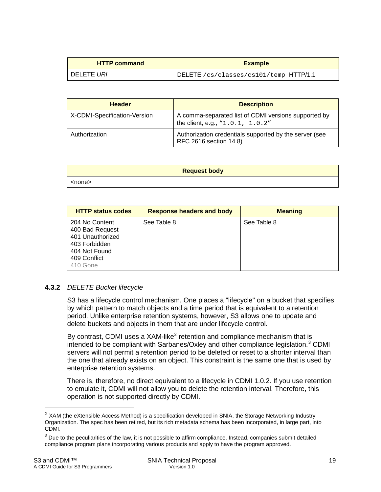| <b>HTTP command</b> | <b>Example</b>                         |
|---------------------|----------------------------------------|
| DELETE URI          | DELETE /cs/classes/cs101/temp HTTP/1.1 |

| <b>Header</b>                | <b>Description</b>                                                                       |
|------------------------------|------------------------------------------------------------------------------------------|
| X-CDMI-Specification-Version | A comma-separated list of CDMI versions supported by<br>the client, e.g., "1.0.1, 1.0.2" |
| Authorization                | Authorization credentials supported by the server (see<br>RFC 2616 section 14.8)         |

| <b>Request body</b> |  |
|---------------------|--|
| <none></none>       |  |

| <b>HTTP status codes</b>                                                                                            | <b>Response headers and body</b> | <b>Meaning</b> |
|---------------------------------------------------------------------------------------------------------------------|----------------------------------|----------------|
| 204 No Content<br>400 Bad Request<br>401 Unauthorized<br>403 Forbidden<br>404 Not Found<br>409 Conflict<br>410 Gone | See Table 8                      | See Table 8    |

#### <span id="page-18-2"></span>**4.3.2** *DELETE Bucket lifecycle*

S3 has a lifecycle control mechanism. One places a "lifecycle" on a bucket that specifies by which pattern to match objects and a time period that is equivalent to a retention period. Unlike enterprise retention systems, however, S3 allows one to update and delete buckets and objects in them that are under lifecycle control.

By contrast, CDMI uses a  $XAM-like<sup>2</sup>$  $XAM-like<sup>2</sup>$  $XAM-like<sup>2</sup>$  retention and compliance mechanism that is intended to be compliant with Sarbanes/Oxley and other compliance legislation. $3$  CDMI servers will not permit a retention period to be deleted or reset to a shorter interval than the one that already exists on an object. This constraint is the same one that is used by enterprise retention systems.

There is, therefore, no direct equivalent to a lifecycle in CDMI 1.0.2. If you use retention to emulate it, CDMI will not allow you to delete the retention interval. Therefore, this operation is not supported directly by CDMI.

 $\ddot{\phantom{a}}$ 

<span id="page-18-0"></span> $2$  XAM (the eXtensible Access Method) is a specification developed in SNIA, the Storage Networking Industry Organization. The spec has been retired, but its rich metadata schema has been incorporated, in large part, into CDMI.

<span id="page-18-1"></span> $3$  Due to the peculiarities of the law, it is not possible to affirm compliance. Instead, companies submit detailed compliance program plans incorporating various products and apply to have the program approved.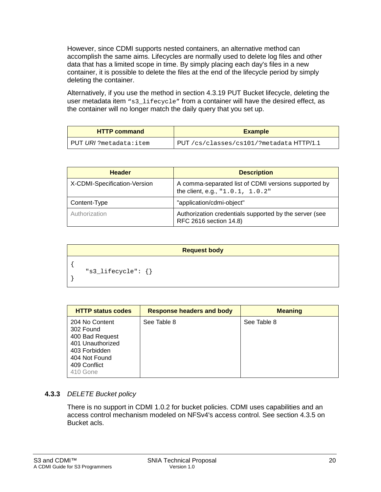However, since CDMI supports nested containers, an alternative method can accomplish the same aims. Lifecycles are normally used to delete log files and other data that has a limited scope in time. By simply placing each day's files in a new container, it is possible to delete the files at the end of the lifecycle period by simply deleting the container.

Alternatively, if you use the method in section [4.3.19](#page-31-0) PUT Bucket lifecycle, deleting the user metadata item  $\text{``s3\; lifecycle''}$  from a container will have the desired effect, as the container will no longer match the daily query that you set up.

| <b>HTTP command</b>           | <b>Example</b>                         |
|-------------------------------|----------------------------------------|
| PUT <i>URI</i> ?metadata:item | PUT/cs/classes/cs101/?metadataHTTP/1.1 |

| <b>Header</b>                | <b>Description</b>                                                                       |
|------------------------------|------------------------------------------------------------------------------------------|
| X-CDMI-Specification-Version | A comma-separated list of CDMI versions supported by<br>the client, e.g., "1.0.1, 1.0.2" |
| Content-Type                 | "application/cdmi-object"                                                                |
| Authorization                | Authorization credentials supported by the server (see<br>RFC 2616 section 14.8)         |

```
Request body
{
     "s3_lifecycle": {}
}
```

| <b>HTTP status codes</b>                                                                                                         | <b>Response headers and body</b> | <b>Meaning</b> |
|----------------------------------------------------------------------------------------------------------------------------------|----------------------------------|----------------|
| 204 No Content<br>302 Found<br>400 Bad Request<br>401 Unauthorized<br>403 Forbidden<br>404 Not Found<br>409 Conflict<br>410 Gone | See Table 8                      | See Table 8    |

#### **4.3.3** *DELETE Bucket policy*

There is no support in CDMI 1.0.2 for bucket policies. CDMI uses capabilities and an access control mechanism modeled on NFSv4's access control. See section [4.3.5](#page-20-0) on Bucket acls.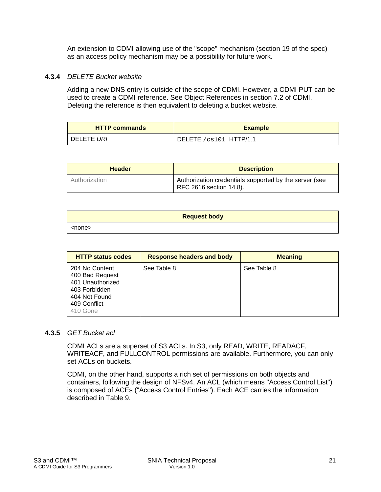An extension to CDMI allowing use of the "scope" mechanism (section 19 of the spec) as an access policy mechanism may be a possibility for future work.

#### **4.3.4** *DELETE Bucket website*

Adding a new DNS entry is outside of the scope of CDMI. However, a CDMI PUT can be used to create a CDMI reference. See Object References in section 7.2 of CDMI. Deleting the reference is then equivalent to deleting a bucket website.

| <b>HTTP commands</b> | <b>Example</b>          |
|----------------------|-------------------------|
| I DELETE <i>URI</i>  | DELETE / cs101 HTTP/1.1 |

| <b>Header</b> | <b>Description</b>                                                                |
|---------------|-----------------------------------------------------------------------------------|
| Authorization | Authorization credentials supported by the server (see<br>RFC 2616 section 14.8). |

| <b>Request body</b> |
|---------------------|
| <none></none>       |

| <b>HTTP status codes</b>                                                                                            | <b>Response headers and body</b> | <b>Meaning</b> |
|---------------------------------------------------------------------------------------------------------------------|----------------------------------|----------------|
| 204 No Content<br>400 Bad Request<br>401 Unauthorized<br>403 Forbidden<br>404 Not Found<br>409 Conflict<br>410 Gone | See Table 8                      | See Table 8    |

#### <span id="page-20-0"></span>**4.3.5** *GET Bucket acl*

CDMI ACLs are a superset of S3 ACLs. In S3, only READ, WRITE, READACF, WRITEACF, and FULLCONTROL permissions are available. Furthermore, you can only set ACLs on buckets.

CDMI, on the other hand, supports a rich set of permissions on both objects and containers, following the design of NFSv4. An ACL (which means "Access Control List") is composed of ACEs ("Access Control Entries"). Each ACE carries the information described in [Table 9.](#page-21-0)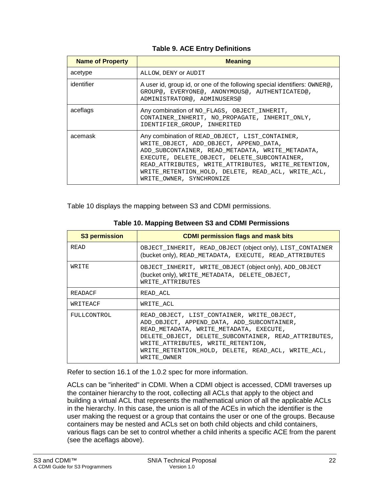#### **Table 9. ACE Entry Definitions**

<span id="page-21-0"></span>

| <b>Name of Property</b> | <b>Meaning</b>                                                                                                                                                                                                                                                                                                                         |
|-------------------------|----------------------------------------------------------------------------------------------------------------------------------------------------------------------------------------------------------------------------------------------------------------------------------------------------------------------------------------|
| acetype                 | ALLOW, DENY OF AUDIT                                                                                                                                                                                                                                                                                                                   |
| identifier              | A user id, group id, or one of the following special identifiers: OWNER@,<br>GROUP@, EVERYONE@, ANONYMOUS@, AUTHENTICATED@,<br>ADMINISTRATOR@, ADMINUSERS@                                                                                                                                                                             |
| aceflags                | Any combination of NO_FLAGS, OBJECT_INHERIT,<br>CONTAINER INHERIT, NO PROPAGATE, INHERIT ONLY,<br>IDENTIFIER GROUP, INHERITED                                                                                                                                                                                                          |
| acemask                 | Any combination of READ_OBJECT, LIST_CONTAINER,<br>WRITE OBJECT, ADD OBJECT, APPEND DATA,<br>ADD SUBCONTAINER, READ METADATA, WRITE METADATA,<br>EXECUTE, DELETE OBJECT, DELETE SUBCONTAINER,<br>READ ATTRIBUTES, WRITE ATTRIBUTES, WRITE RETENTION,<br>WRITE RETENTION HOLD, DELETE, READ ACL, WRITE ACL,<br>WRITE OWNER, SYNCHRONIZE |

<span id="page-21-1"></span>[Table 10](#page-21-1) displays the mapping between S3 and CDMI permissions.

| <b>S3 permission</b> | <b>CDMI permission flags and mask bits</b>                                                                                                                                                                                                                                                             |
|----------------------|--------------------------------------------------------------------------------------------------------------------------------------------------------------------------------------------------------------------------------------------------------------------------------------------------------|
| <b>READ</b>          | OBJECT_INHERIT, READ_OBJECT (object only), LIST_CONTAINER<br>(bucket only), READ_METADATA, EXECUTE, READ_ATTRIBUTES                                                                                                                                                                                    |
| WRITE                | OBJECT_INHERIT, WRITE_OBJECT (object only), ADD_OBJECT<br>(bucket only), WRITE METADATA, DELETE OBJECT,<br>WRITE ATTRIBUTES                                                                                                                                                                            |
| READACF              | READ ACL                                                                                                                                                                                                                                                                                               |
| WRITEACF             | WRITE ACL                                                                                                                                                                                                                                                                                              |
| FULLCONTROL          | READ OBJECT, LIST CONTAINER, WRITE OBJECT,<br>ADD OBJECT, APPEND DATA, ADD SUBCONTAINER,<br>READ METADATA, WRITE METADATA, EXECUTE,<br>DELETE OBJECT, DELETE SUBCONTAINER, READ ATTRIBUTES,<br>WRITE ATTRIBUTES, WRITE RETENTION,<br>WRITE RETENTION HOLD, DELETE, READ ACL, WRITE ACL,<br>WRITE OWNER |

**Table 10. Mapping Between S3 and CDMI Permissions**

Refer to section 16.1 of the 1.0.2 spec for more information.

ACLs can be "inherited" in CDMI. When a CDMI object is accessed, CDMI traverses up the container hierarchy to the root, collecting all ACLs that apply to the object and building a virtual ACL that represents the mathematical union of all the applicable ACLs in the hierarchy. In this case, the union is all of the ACEs in which the identifier is the user making the request or a group that contains the user or one of the groups. Because containers may be nested and ACLs set on both child objects and child containers, various flags can be set to control whether a child inherits a specific ACE from the parent (see the aceflags above).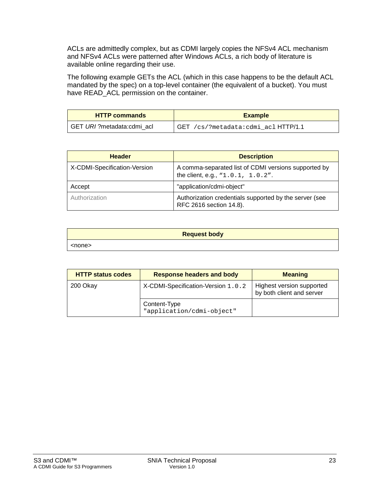ACLs are admittedly complex, but as CDMI largely copies the NFSv4 ACL mechanism and NFSv4 ACLs were patterned after Windows ACLs, a rich body of literature is available online regarding their use.

The following example GETs the ACL (which in this case happens to be the default ACL mandated by the spec) on a top-level container (the equivalent of a bucket). You must have READ\_ACL permission on the container.

| <b>HTTP commands</b>      | <b>Example</b>                           |
|---------------------------|------------------------------------------|
| GET URI?metadata:cdmi acl | $GET / cs$ ?metadata:cdmi acl $HTTP/1.1$ |

| <b>Header</b>                | <b>Description</b>                                                                                   |
|------------------------------|------------------------------------------------------------------------------------------------------|
| X-CDMI-Specification-Version | A comma-separated list of CDMI versions supported by<br>the client, e.g., $\text{``1.0.1, 1.0.2''}.$ |
| Accept                       | "application/cdmi-object"                                                                            |
| Authorization                | Authorization credentials supported by the server (see<br>RFC 2616 section 14.8).                    |

| <b>Request body</b> |  |
|---------------------|--|
| <none></none>       |  |

| <b>HTTP status codes</b> | <b>Response headers and body</b>          | <b>Meaning</b>                                         |
|--------------------------|-------------------------------------------|--------------------------------------------------------|
| 200 Okay                 | X-CDMI-Specification-Version 1.0.2        | Highest version supported<br>by both client and server |
|                          | Content-Type<br>"application/cdmi-object" |                                                        |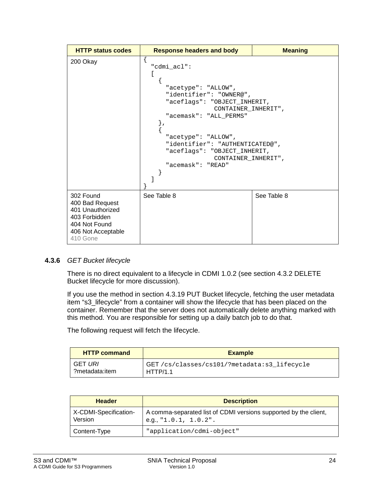| <b>HTTP status codes</b>                                                                                             | <b>Response headers and body</b>                                                                                                                                                                                                                                                               | <b>Meaning</b> |
|----------------------------------------------------------------------------------------------------------------------|------------------------------------------------------------------------------------------------------------------------------------------------------------------------------------------------------------------------------------------------------------------------------------------------|----------------|
| 200 Okay                                                                                                             | "cdmi acl":<br>"acetype": "ALLOW",<br>"identifier": "OWNER@",<br>"aceflags": "OBJECT_INHERIT,<br>CONTAINER INHERIT",<br>"acemask": "ALL PERMS"<br>$\}$ ,<br>"acetype": "ALLOW",<br>"identifier": "AUTHENTICATED@",<br>"aceflags": "OBJECT_INHERIT,<br>CONTAINER INHERIT",<br>"acemask": "READ" |                |
| 302 Found<br>400 Bad Request<br>401 Unauthorized<br>403 Forbidden<br>404 Not Found<br>406 Not Acceptable<br>410 Gone | See Table 8                                                                                                                                                                                                                                                                                    | See Table 8    |

#### **4.3.6** *GET Bucket lifecycle*

There is no direct equivalent to a lifecycle in CDMI 1.0.2 (see section [4.3.2](#page-18-2) DELETE Bucket lifecycle for more discussion).

If you use the method in section [4.3.19](#page-31-0) PUT Bucket lifecycle, fetching the user metadata item "s3\_lifecycle" from a container will show the lifecycle that has been placed on the container. Remember that the server does not automatically delete anything marked with this method. You are responsible for setting up a daily batch job to do that.

The following request will fetch the lifecycle.

| <b>HTTP command</b> | <b>Example</b>                              |
|---------------------|---------------------------------------------|
| GET URI             | GET/cs/classes/cs101/?metadata:s3_lifecycle |
| ?metadata:item      | HTTP/1.1                                    |

| <b>Header</b>                    | <b>Description</b>                                                                               |
|----------------------------------|--------------------------------------------------------------------------------------------------|
| X-CDMI-Specification-<br>Version | A comma-separated list of CDMI versions supported by the client,<br>e.g., " $1.0.1$ , $1.0.2$ ". |
| Content-Type                     | "application/cdmi-object"                                                                        |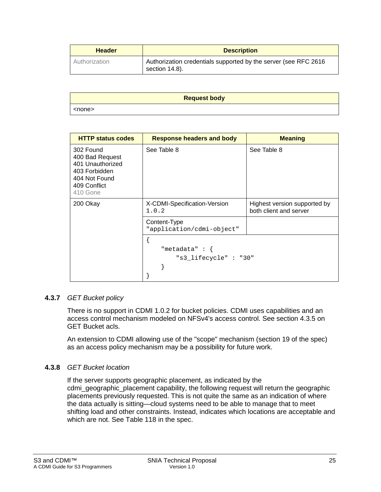| <b>Header</b> | <b>Description</b>                                                                |
|---------------|-----------------------------------------------------------------------------------|
| Authorization | Authorization credentials supported by the server (see RFC 2616<br>section 14.8). |

|               | <b>Request body</b> |
|---------------|---------------------|
| <none></none> |                     |

| <b>HTTP status codes</b>                                                                                       | <b>Response headers and body</b>          | <b>Meaning</b>                                         |
|----------------------------------------------------------------------------------------------------------------|-------------------------------------------|--------------------------------------------------------|
| 302 Found<br>400 Bad Request<br>401 Unauthorized<br>403 Forbidden<br>404 Not Found<br>409 Conflict<br>410 Gone | See Table 8                               | See Table 8                                            |
| 200 Okay                                                                                                       | X-CDMI-Specification-Version<br>1.0.2     | Highest version supported by<br>both client and server |
|                                                                                                                | Content-Type<br>"application/cdmi-object" |                                                        |
|                                                                                                                | "metadata" $: \{$<br>"s3 lifecycle": "30" |                                                        |

#### **4.3.7** *GET Bucket policy*

There is no support in CDMI 1.0.2 for bucket policies. CDMI uses capabilities and an access control mechanism modeled on NFSv4's access control. See section [4.3.5](#page-20-0) on GET Bucket acls.

An extension to CDMI allowing use of the "scope" mechanism (section 19 of the spec) as an access policy mechanism may be a possibility for future work.

#### **4.3.8** *GET Bucket location*

If the server supports geographic placement, as indicated by the cdmi geographic placement capability, the following request will return the geographic placements previously requested. This is not quite the same as an indication of where the data actually is sitting—cloud systems need to be able to manage that to meet shifting load and other constraints. Instead, indicates which locations are acceptable and which are not. See Table 118 in the spec.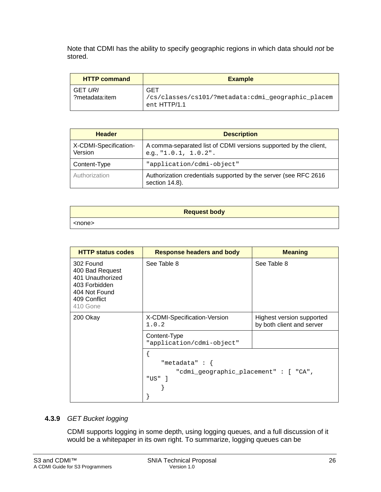Note that CDMI has the ability to specify geographic regions in which data should *not* be stored.

| <b>HTTP command</b>       | <b>Example</b>                                                            |
|---------------------------|---------------------------------------------------------------------------|
| GET URI<br>?metadata:item | GET<br>/cs/classes/cs101/?metadata:cdmi_geographic_placem<br>ent HTTP/1.1 |

| <b>Header</b>                    | <b>Description</b>                                                                           |
|----------------------------------|----------------------------------------------------------------------------------------------|
| X-CDMI-Specification-<br>Version | A comma-separated list of CDMI versions supported by the client,<br>e.g., $"1.0.1, 1.0.2"$ . |
| Content-Type                     | "application/cdmi-object"                                                                    |
| Authorization                    | Authorization credentials supported by the server (see RFC 2616<br>section 14.8).            |

| <b>Request body</b> |
|---------------------|
| <none></none>       |

| <b>HTTP status codes</b>                                                                                       | <b>Response headers and body</b>                                       | <b>Meaning</b>                                         |
|----------------------------------------------------------------------------------------------------------------|------------------------------------------------------------------------|--------------------------------------------------------|
| 302 Found<br>400 Bad Request<br>401 Unauthorized<br>403 Forbidden<br>404 Not Found<br>409 Conflict<br>410 Gone | See Table 8                                                            | See Table 8                                            |
| 200 Okay                                                                                                       | X-CDMI-Specification-Version<br>1.0.2                                  | Highest version supported<br>by both client and server |
|                                                                                                                | Content-Type<br>"application/cdmi-object"                              |                                                        |
|                                                                                                                | "metadata" : $\{$<br>"cdmi_geographic_placement": [ "CA",<br>" $US"$ ] |                                                        |

#### **4.3.9** *GET Bucket logging*

CDMI supports logging in some depth, using logging queues, and a full discussion of it would be a whitepaper in its own right. To summarize, logging queues can be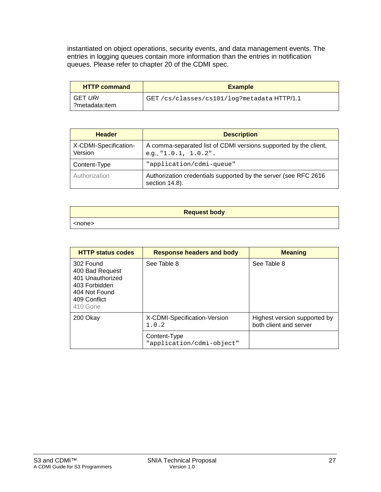instantiated on object operations, security events, and data management events. The entries in logging queues contain more information than the entries in notification queues. Please refer to chapter 20 of the CDMI spec.

| <b>HTTP command</b>              | <b>Example</b>                              |
|----------------------------------|---------------------------------------------|
| <b>GET URI</b><br>?metadata:item | GET /cs/classes/cs101/log?metadata HTTP/1.1 |

| <b>Header</b>                    | <b>Description</b>                                                                           |
|----------------------------------|----------------------------------------------------------------------------------------------|
| X-CDMI-Specification-<br>Version | A comma-separated list of CDMI versions supported by the client,<br>e.g., $"1.0.1, 1.0.2"$ . |
| Content-Type                     | "application/cdmi-queue"                                                                     |
| Authorization                    | Authorization credentials supported by the server (see RFC 2616<br>section 14.8).            |

| <b>Request body</b> |  |
|---------------------|--|
| <none></none>       |  |

| <b>HTTP status codes</b>                                                                                       | <b>Response headers and body</b>          | <b>Meaning</b>                                         |
|----------------------------------------------------------------------------------------------------------------|-------------------------------------------|--------------------------------------------------------|
| 302 Found<br>400 Bad Request<br>401 Unauthorized<br>403 Forbidden<br>404 Not Found<br>409 Conflict<br>410 Gone | See Table 8                               | See Table 8                                            |
| 200 Okay                                                                                                       | X-CDMI-Specification-Version<br>1.0.2     | Highest version supported by<br>both client and server |
|                                                                                                                | Content-Type<br>"application/cdmi-object" |                                                        |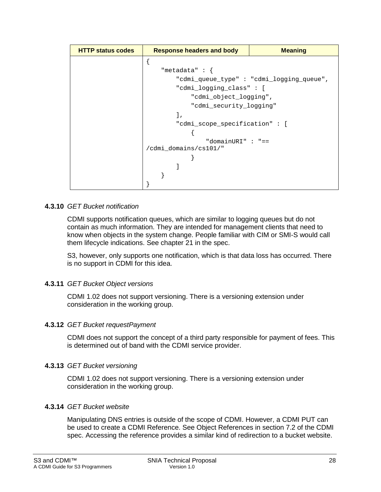| <b>HTTP status codes</b> | <b>Response headers and body</b> | <b>Meaning</b>                           |
|--------------------------|----------------------------------|------------------------------------------|
|                          |                                  |                                          |
|                          | "metadata": {                    |                                          |
|                          |                                  | "cdmi_queue_type": "cdmi_logging_queue", |
|                          | "cdmi_logging_class": [          |                                          |
|                          | "cdmi_object_logging",           |                                          |
|                          | "cdmi_security_logging"          |                                          |
|                          | l,                               |                                          |
|                          | "cdmi_scope_specification": [    |                                          |
|                          |                                  |                                          |
|                          | "domainURI" : "==                |                                          |
|                          | /cdmi_domains/cs101/"            |                                          |
|                          |                                  |                                          |
|                          |                                  |                                          |
|                          |                                  |                                          |
|                          |                                  |                                          |

#### **4.3.10** *GET Bucket notification*

CDMI supports notification queues, which are similar to logging queues but do not contain as much information. They are intended for management clients that need to know when objects in the system change. People familiar with CIM or SMI-S would call them lifecycle indications. See chapter 21 in the spec.

S3, however, only supports one notification, which is that data loss has occurred. There is no support in CDMI for this idea.

#### **4.3.11** *GET Bucket Object versions*

CDMI 1.02 does not support versioning. There is a versioning extension under consideration in the working group.

#### **4.3.12** *GET Bucket requestPayment*

CDMI does not support the concept of a third party responsible for payment of fees. This is determined out of band with the CDMI service provider.

#### **4.3.13** *GET Bucket versioning*

CDMI 1.02 does not support versioning. There is a versioning extension under consideration in the working group.

#### **4.3.14** *GET Bucket website*

Manipulating DNS entries is outside of the scope of CDMI. However, a CDMI PUT can be used to create a CDMI Reference. See Object References in section 7.2 of the CDMI spec. Accessing the reference provides a similar kind of redirection to a bucket website.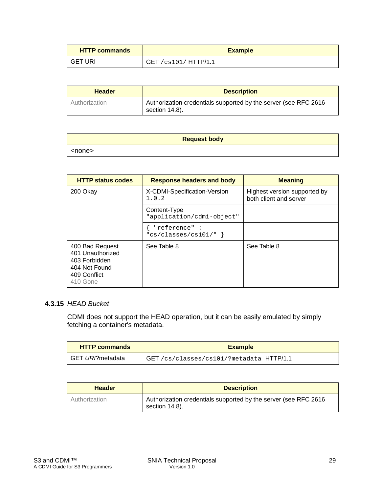| <b>HTTP commands</b> | <b>Example</b>        |
|----------------------|-----------------------|
| <b>GET URI</b>       | GET /cs101 / HTTP/1.1 |

| <b>Header</b> | <b>Description</b>                                                                |
|---------------|-----------------------------------------------------------------------------------|
| Authorization | Authorization credentials supported by the server (see RFC 2616<br>section 14.8). |

| <b>Request body</b> |  |
|---------------------|--|
| <none></none>       |  |

| <b>HTTP status codes</b>                                                                          | <b>Response headers and body</b>          | <b>Meaning</b>                                         |
|---------------------------------------------------------------------------------------------------|-------------------------------------------|--------------------------------------------------------|
| 200 Okay                                                                                          | X-CDMI-Specification-Version<br>1.0.2     | Highest version supported by<br>both client and server |
|                                                                                                   | Content-Type<br>"application/cdmi-object" |                                                        |
|                                                                                                   | "reference":<br>" $cs/classes/cs101/$ " } |                                                        |
| 400 Bad Request<br>401 Unauthorized<br>403 Forbidden<br>404 Not Found<br>409 Conflict<br>410 Gone | See Table 8                               | See Table 8                                            |

#### **4.3.15** *HEAD Bucket*

CDMI does not support the HEAD operation, but it can be easily emulated by simply fetching a container's metadata.

| <b>HTTP commands</b> | <b>Example</b>                           |
|----------------------|------------------------------------------|
| GET URI?metadata     | GET /cs/classes/cs101/?metadata HTTP/1.1 |

| <b>Header</b> | <b>Description</b>                                                                |
|---------------|-----------------------------------------------------------------------------------|
| Authorization | Authorization credentials supported by the server (see RFC 2616<br>section 14.8). |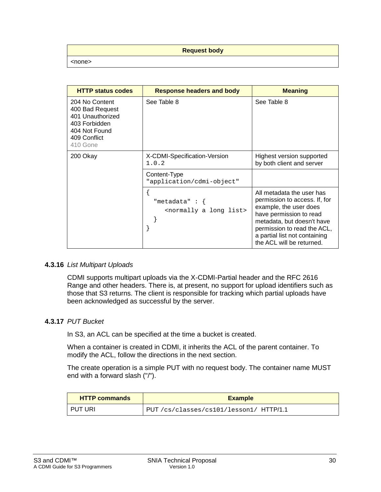#### **Request body**

<none>

| <b>HTTP status codes</b>                                                                                            | <b>Response headers and body</b>                                | <b>Meaning</b>                                                                                                                                                                                                                             |
|---------------------------------------------------------------------------------------------------------------------|-----------------------------------------------------------------|--------------------------------------------------------------------------------------------------------------------------------------------------------------------------------------------------------------------------------------------|
| 204 No Content<br>400 Bad Request<br>401 Unauthorized<br>403 Forbidden<br>404 Not Found<br>409 Conflict<br>410 Gone | See Table 8                                                     | See Table 8                                                                                                                                                                                                                                |
| 200 Okay                                                                                                            | X-CDMI-Specification-Version<br>1.0.2                           | Highest version supported<br>by both client and server                                                                                                                                                                                     |
|                                                                                                                     | Content-Type<br>"application/cdmi-object"                       |                                                                                                                                                                                                                                            |
|                                                                                                                     | "metadata" : $\{$<br><normally a="" list="" long=""></normally> | All metadata the user has<br>permission to access. If, for<br>example, the user does<br>have permission to read<br>metadata, but doesn't have<br>permission to read the ACL,<br>a partial list not containing<br>the ACL will be returned. |

#### **4.3.16** *List Multipart Uploads*

CDMI supports multipart uploads via the X-CDMI-Partial header and the RFC 2616 Range and other headers. There is, at present, no support for upload identifiers such as those that S3 returns. The client is responsible for tracking which partial uploads have been acknowledged as successful by the server.

#### **4.3.17** *PUT Bucket*

In S3, an ACL can be specified at the time a bucket is created.

When a container is created in CDMI, it inherits the ACL of the parent container. To modify the ACL, follow the directions in the next section.

The create operation is a simple PUT with no request body. The container name MUST end with a forward slash ("/").

| <b>HTTP commands</b> | <b>Example</b>                          |
|----------------------|-----------------------------------------|
| PUT URI              | PUT /cs/classes/cs101/lesson1/ HTTP/1.1 |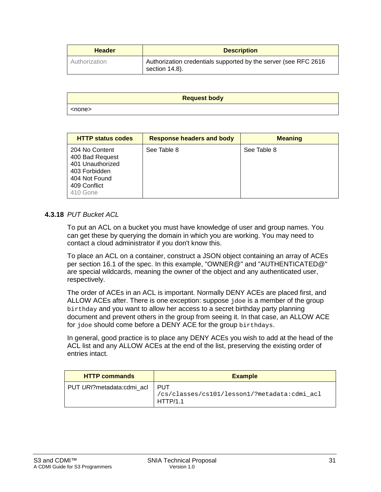| <b>Header</b> | <b>Description</b>                                                                |  |
|---------------|-----------------------------------------------------------------------------------|--|
| Authorization | Authorization credentials supported by the server (see RFC 2616<br>section 14.8). |  |

|               | <b>Request body</b> |
|---------------|---------------------|
| <none></none> |                     |

| <b>HTTP status codes</b>                                                                                            | <b>Response headers and body</b> | <b>Meaning</b> |
|---------------------------------------------------------------------------------------------------------------------|----------------------------------|----------------|
| 204 No Content<br>400 Bad Request<br>401 Unauthorized<br>403 Forbidden<br>404 Not Found<br>409 Conflict<br>410 Gone | See Table 8                      | See Table 8    |

#### **4.3.18** *PUT Bucket ACL*

To put an ACL on a bucket you must have knowledge of user and group names. You can get these by querying the domain in which you are working. You may need to contact a cloud administrator if you don't know this.

To place an ACL on a container, construct a JSON object containing an array of ACEs per section 16.1 of the spec. In this example, "OWNER@" and "AUTHENTICATED@" are special wildcards, meaning the owner of the object and any authenticated user, respectively.

The order of ACEs in an ACL is important. Normally DENY ACEs are placed first, and ALLOW ACEs after. There is one exception: suppose jdoe is a member of the group birthday and you want to allow her access to a secret birthday party planning document and prevent others in the group from seeing it. In that case, an ALLOW ACE for jdoe should come before a DENY ACE for the group birthdays.

In general, good practice is to place any DENY ACEs you wish to add at the head of the ACL list and any ALLOW ACEs at the end of the list, preserving the existing order of entries intact.

| <b>HTTP commands</b>      | <b>Example</b>                                                    |
|---------------------------|-------------------------------------------------------------------|
| PUT URI?metadata:cdmi acl | I PUT<br>/cs/classes/cs101/lesson1/?metadata:cdmi_acl<br>HTTP/1.1 |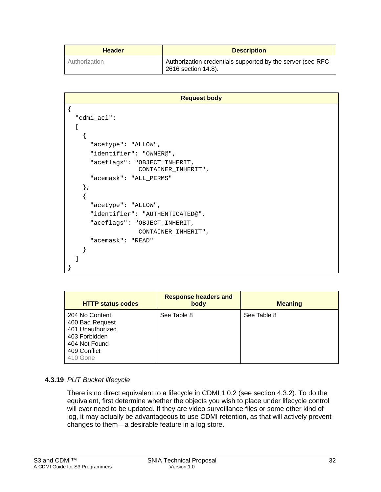| <b>Header</b> | <b>Description</b>                                                                |
|---------------|-----------------------------------------------------------------------------------|
| Authorization | Authorization credentials supported by the server (see RFC<br>2616 section 14.8). |

```
Request body
{
   "cdmi_acl":
  \sqrt{2} {
        "acetype": "ALLOW",
       "identifier": "OWNER@",
       "aceflags": "OBJECT_INHERIT, 
                      CONTAINER_INHERIT",
       "acemask": "ALL_PERMS"
     },
     {
       "acetype": "ALLOW",
       "identifier": "AUTHENTICATED@",
       "aceflags": "OBJECT_INHERIT, 
                      CONTAINER_INHERIT",
       "acemask": "READ"
     }
   ]
}
```

| <b>HTTP status codes</b>                                                                                            | <b>Response headers and</b><br>body | <b>Meaning</b> |
|---------------------------------------------------------------------------------------------------------------------|-------------------------------------|----------------|
| 204 No Content<br>400 Bad Request<br>401 Unauthorized<br>403 Forbidden<br>404 Not Found<br>409 Conflict<br>410 Gone | See Table 8                         | See Table 8    |

#### <span id="page-31-0"></span>**4.3.19** *PUT Bucket lifecycle*

There is no direct equivalent to a lifecycle in CDMI 1.0.2 (see section 4.3.2). To do the equivalent, first determine whether the objects you wish to place under lifecycle control will ever need to be updated. If they are video surveillance files or some other kind of log, it may actually be advantageous to use CDMI retention, as that will actively prevent changes to them—a desirable feature in a log store.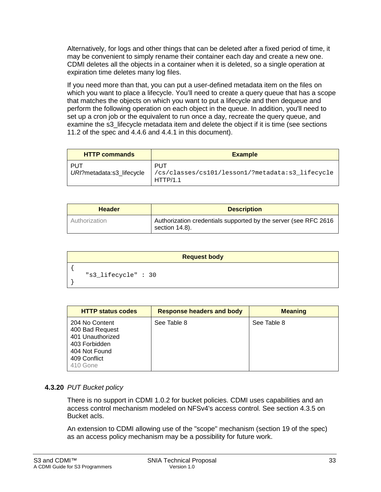Alternatively, for logs and other things that can be deleted after a fixed period of time, it may be convenient to simply rename their container each day and create a new one. CDMI deletes all the objects in a container when it is deleted, so a single operation at expiration time deletes many log files.

If you need more than that, you can put a user-defined metadata item on the files on which you want to place a lifecycle. You'll need to create a query queue that has a scope that matches the objects on which you want to put a lifecycle and then dequeue and perform the following operation on each object in the queue. In addition, you'll need to set up a cron job or the equivalent to run once a day, recreate the query queue, and examine the s3 lifecycle metadata item and delete the object if it is time (see sections 11.2 of the spec and [4.4.6](#page-39-0) and [4.4.1](#page-36-0) in this document).

| <b>HTTP commands</b>               | <b>Example</b>                                                      |
|------------------------------------|---------------------------------------------------------------------|
| - PUT<br>URI?metadata:s3_lifecycle | PUT<br>/cs/classes/cs101/lesson1/?metadata:s3_lifecycle<br>HTTP/1.1 |

| <b>Header</b> | <b>Description</b>                                                                |  |
|---------------|-----------------------------------------------------------------------------------|--|
| Authorization | Authorization credentials supported by the server (see RFC 2616<br>section 14.8). |  |

| <b>Request body</b> |  |
|---------------------|--|
|                     |  |
| "s3_lifecycle": 30  |  |

| <b>HTTP status codes</b>                                                                                            | <b>Response headers and body</b> | <b>Meaning</b> |
|---------------------------------------------------------------------------------------------------------------------|----------------------------------|----------------|
| 204 No Content<br>400 Bad Request<br>401 Unauthorized<br>403 Forbidden<br>404 Not Found<br>409 Conflict<br>410 Gone | See Table 8                      | See Table 8    |

#### **4.3.20** *PUT Bucket policy*

There is no support in CDMI 1.0.2 for bucket policies. CDMI uses capabilities and an access control mechanism modeled on NFSv4's access control. See section [4.3.5](#page-20-0) on Bucket acls.

An extension to CDMI allowing use of the "scope" mechanism (section 19 of the spec) as an access policy mechanism may be a possibility for future work.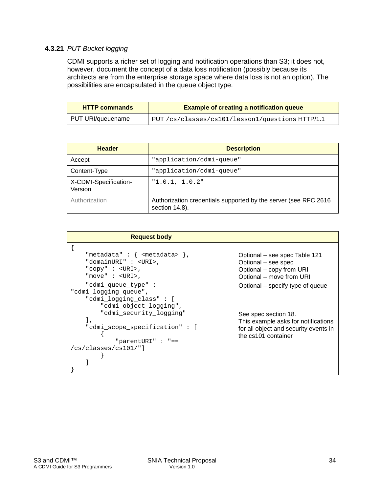#### <span id="page-33-0"></span>**4.3.21** *PUT Bucket logging*

CDMI supports a richer set of logging and notification operations than S3; it does not, however, document the concept of a data loss notification (possibly because its architects are from the enterprise storage space where data loss is not an option). The possibilities are encapsulated in the queue object type.

| <b>HTTP commands</b> | <b>Example of creating a notification queue</b>  |
|----------------------|--------------------------------------------------|
| PUT URI/queuename    | PUT /cs/classes/cs101/lesson1/questions HTTP/1.1 |

| <b>Header</b>                    | <b>Description</b>                                                                |
|----------------------------------|-----------------------------------------------------------------------------------|
| Accept                           | "application/cdmi-queue"                                                          |
| Content-Type                     | "application/cdmi-queue"                                                          |
| X-CDMI-Specification-<br>Version | "1.0.1, 1.0.2"                                                                    |
| Authorization                    | Authorization credentials supported by the server (see RFC 2616<br>section 14.8). |

| <b>Request body</b>                                                                                                                               |                                                                                                                             |
|---------------------------------------------------------------------------------------------------------------------------------------------------|-----------------------------------------------------------------------------------------------------------------------------|
| "metadata" : { $\langle$ <metadata> },<br/>"domainURI" : <uri>,<br/>"copy" : <uri>,<br/>"move" <math>:</math> <uri>,</uri></uri></uri></metadata> | Optional – see spec Table 121<br>Optional - see spec<br>Optional - copy from URI<br>Optional - move from URI                |
| "cdmi queue type":<br>"cdmi logging queue",<br>"cdmi_logging_class": [<br>"cdmi object logging",                                                  | Optional – specify type of queue                                                                                            |
| "cdmi security logging"<br>1,<br>"cdmi scope specification": [<br>"parentURI" : "==                                                               | See spec section 18.<br>This example asks for notifications<br>for all object and security events in<br>the cs101 container |
| $/cs/classes/cs101/$ "]                                                                                                                           |                                                                                                                             |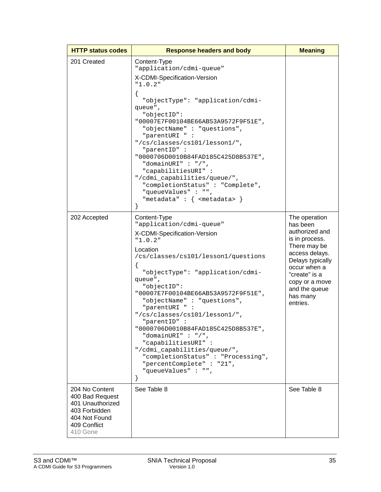| <b>HTTP status codes</b>                                                                                            | <b>Response headers and body</b>                                                                                                                                                                                                                                                                                                                                                                                                                                                                                                                             | <b>Meaning</b>                                                                                                                                                                                                  |
|---------------------------------------------------------------------------------------------------------------------|--------------------------------------------------------------------------------------------------------------------------------------------------------------------------------------------------------------------------------------------------------------------------------------------------------------------------------------------------------------------------------------------------------------------------------------------------------------------------------------------------------------------------------------------------------------|-----------------------------------------------------------------------------------------------------------------------------------------------------------------------------------------------------------------|
| 201 Created                                                                                                         | Content-Type<br>"application/cdmi-queue"<br>X-CDMI-Specification-Version<br>"1.0.2"<br>í<br>"objectType": "application/cdmi-<br>queue",<br>"objectID":<br>"00007E7F00104BE66AB53A9572F9F51E",<br>"objectName": "questions",<br>"parentURI "<br>"/cs/classes/cs101/lesson1/",<br>"parentID" :<br>"0000706D0010B84FAD185C425D8B537E",<br>"domainURI" : "/",<br>"capabilitiesURI":<br>"/cdmi_capabilities/queue/",<br>"completionStatus": "Complete",<br>"queueValues": "",<br>"metadata" : { <metadata> }</metadata>                                           |                                                                                                                                                                                                                 |
| 202 Accepted                                                                                                        | Content-Type<br>"application/cdmi-queue"<br>X-CDMI-Specification-Version<br>"1.0.2"<br>Location<br>/cs/classes/cs101/lesson1/questions<br>"objectType": "application/cdmi-<br>queue",<br>"objectID":<br>"00007E7F00104BE66AB53A9572F9F51E",<br>"objectName": "questions",<br>"parentURI " :<br>"/cs/classes/cs101/lesson1/",<br>"parentID" :<br>"0000706D0010B84FAD185C425D8B537E",<br>"domainURI" : "/",<br>"capabilitiesURI":<br>"/cdmi_capabilities/queue/",<br>"completionStatus": "Processing",<br>"percentComplete" : "21",<br>"queueValues": "",<br>} | The operation<br>has been<br>authorized and<br>is in process.<br>There may be<br>access delays.<br>Delays typically<br>occur when a<br>"create" is a<br>copy or a move<br>and the queue<br>has many<br>entries. |
| 204 No Content<br>400 Bad Request<br>401 Unauthorized<br>403 Forbidden<br>404 Not Found<br>409 Conflict<br>410 Gone | See Table 8                                                                                                                                                                                                                                                                                                                                                                                                                                                                                                                                                  | See Table 8                                                                                                                                                                                                     |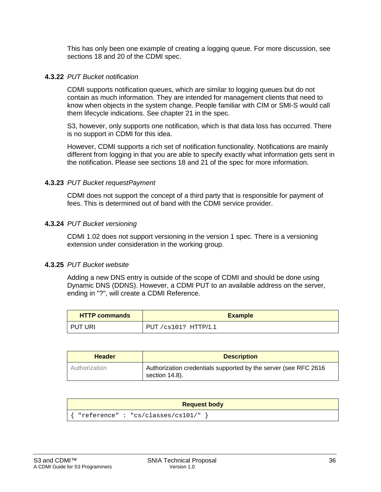This has only been one example of creating a logging queue. For more discussion, see sections 18 and 20 of the CDMI spec.

#### **4.3.22** *PUT Bucket notification*

CDMI supports notification queues, which are similar to logging queues but do not contain as much information. They are intended for management clients that need to know when objects in the system change. People familiar with CIM or SMI-S would call them lifecycle indications. See chapter 21 in the spec.

S3, however, only supports one notification, which is that data loss has occurred. There is no support in CDMI for this idea.

However, CDMI supports a rich set of notification functionality. Notifications are mainly different from logging in that you are able to specify exactly what information gets sent in the notification. Please see sections 18 and 21 of the spec for more information.

#### **4.3.23** *PUT Bucket requestPayment*

CDMI does not support the concept of a third party that is responsible for payment of fees. This is determined out of band with the CDMI service provider.

#### **4.3.24** *PUT Bucket versioning*

CDMI 1.02 does not support versioning in the version 1 spec. There is a versioning extension under consideration in the working group.

#### **4.3.25** *PUT Bucket website*

Adding a new DNS entry is outside of the scope of CDMI and should be done using Dynamic DNS (DDNS). However, a CDMI PUT to an available address on the server, ending in "?", will create a CDMI Reference.

| <b>HTTP commands</b> | <b>Example</b>            |
|----------------------|---------------------------|
| PUT URI              | $PUT / cs101?$ $HTTP/1.1$ |

| <b>Header</b> | <b>Description</b>                                                                |
|---------------|-----------------------------------------------------------------------------------|
| Authorization | Authorization credentials supported by the server (see RFC 2616<br>section 14.8). |

| <b>Request body</b>              |  |
|----------------------------------|--|
| "reference": "cs/classes/cs101/" |  |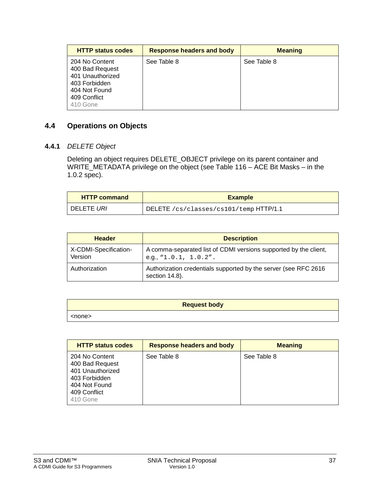| <b>HTTP status codes</b>                                                                                            | <b>Response headers and body</b> | <b>Meaning</b> |
|---------------------------------------------------------------------------------------------------------------------|----------------------------------|----------------|
| 204 No Content<br>400 Bad Request<br>401 Unauthorized<br>403 Forbidden<br>404 Not Found<br>409 Conflict<br>410 Gone | See Table 8                      | See Table 8    |

#### **4.4 Operations on Objects**

#### <span id="page-36-0"></span>**4.4.1** *DELETE Object*

Deleting an object requires DELETE\_OBJECT privilege on its parent container and WRITE\_METADATA privilege on the object (see Table 116 – ACE Bit Masks – in the 1.0.2 spec).

| <b>HTTP command</b> | <b>Example</b>                         |
|---------------------|----------------------------------------|
| I DELETE <i>URI</i> | DELETE /cs/classes/cs101/temp HTTP/1.1 |

| <b>Header</b>                    | <b>Description</b>                                                                                       |
|----------------------------------|----------------------------------------------------------------------------------------------------------|
| X-CDMI-Specification-<br>Version | A comma-separated list of CDMI versions supported by the client,<br>e.g., $\lceil 1.0.1, 1.0.2 \rceil$ . |
| Authorization                    | Authorization credentials supported by the server (see RFC 2616<br>section 14.8).                        |

| <b>Request body</b> |
|---------------------|
| <none></none>       |

| <b>HTTP status codes</b>                                                                                            | <b>Response headers and body</b> | <b>Meaning</b> |
|---------------------------------------------------------------------------------------------------------------------|----------------------------------|----------------|
| 204 No Content<br>400 Bad Request<br>401 Unauthorized<br>403 Forbidden<br>404 Not Found<br>409 Conflict<br>410 Gone | See Table 8                      | See Table 8    |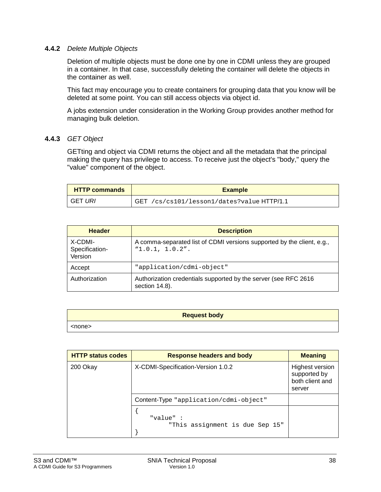#### **4.4.2** *Delete Multiple Objects*

Deletion of multiple objects must be done one by one in CDMI unless they are grouped in a container. In that case, successfully deleting the container will delete the objects in the container as well.

This fact may encourage you to create containers for grouping data that you know will be deleted at some point. You can still access objects via object id.

A jobs extension under consideration in the Working Group provides another method for managing bulk deletion.

#### **4.4.3** *GET Object*

GETting and object via CDMI returns the object and all the metadata that the principal making the query has privilege to access. To receive just the object's "body," query the "value" component of the object.

| <b>HTTP commands</b> | <b>Example</b>                                       |
|----------------------|------------------------------------------------------|
| GET URI              | <b>GET</b><br>/cs/cs101/lesson1/dates?value HTTP/1.1 |

| <b>Header</b>                        | <b>Description</b>                                                                        |
|--------------------------------------|-------------------------------------------------------------------------------------------|
| X-CDMI-<br>Specification-<br>Version | A comma-separated list of CDMI versions supported by the client, e.g.,<br>"1.0.1, 1.0.2". |
| Accept                               | "application/cdmi-object"                                                                 |
| Authorization                        | Authorization credentials supported by the server (see RFC 2616<br>section 14.8).         |

| <b>Request body</b> |
|---------------------|
| <none></none>       |

| <b>HTTP status codes</b> | <b>Response headers and body</b>            | <b>Meaning</b>                                               |
|--------------------------|---------------------------------------------|--------------------------------------------------------------|
| 200 Okay                 | X-CDMI-Specification-Version 1.0.2          | Highest version<br>supported by<br>both client and<br>server |
|                          | Content-Type "application/cdmi-object"      |                                                              |
|                          | "value":<br>"This assignment is due Sep 15" |                                                              |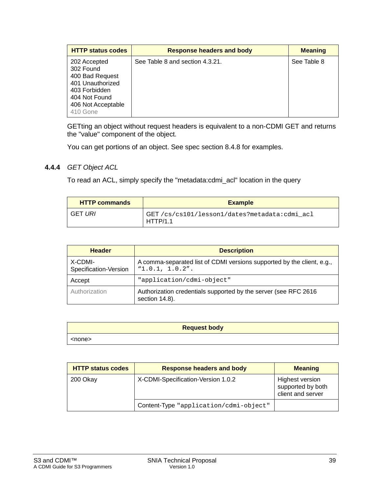| <b>HTTP status codes</b>                                                                                                             | <b>Response headers and body</b> | <b>Meaning</b> |
|--------------------------------------------------------------------------------------------------------------------------------------|----------------------------------|----------------|
| 202 Accepted<br>302 Found<br>400 Bad Request<br>401 Unauthorized<br>403 Forbidden<br>404 Not Found<br>406 Not Acceptable<br>410 Gone | See Table 8 and section 4.3.21.  | See Table 8    |

GETting an object without request headers is equivalent to a non-CDMI GET and returns the "value" component of the object.

You can get portions of an object. See spec section 8.4.8 for examples.

#### **4.4.4** *GET Object ACL*

To read an ACL, simply specify the "metadata:cdmi\_acl" location in the query

| <b>HTTP commands</b> | <b>Example</b>                                           |
|----------------------|----------------------------------------------------------|
| GET URI              | GET/cs/cs101/lesson1/dates?metadata:cdmi acl<br>HTTP/1.1 |

| <b>Header</b>                    | <b>Description</b>                                                                        |  |
|----------------------------------|-------------------------------------------------------------------------------------------|--|
| X-CDMI-<br>Specification-Version | A comma-separated list of CDMI versions supported by the client, e.g.,<br>"1.0.1, 1.0.2". |  |
| Accept                           | "application/cdmi-object"                                                                 |  |
| Authorization                    | Authorization credentials supported by the server (see RFC 2616<br>section 14.8).         |  |

| <b>Request body</b> |
|---------------------|
| <none></none>       |

| <b>HTTP status codes</b> | <b>Response headers and body</b>       | <b>Meaning</b>                                                   |
|--------------------------|----------------------------------------|------------------------------------------------------------------|
| 200 Okay                 | X-CDMI-Specification-Version 1.0.2     | <b>Highest version</b><br>supported by both<br>client and server |
|                          | Content-Type "application/cdmi-object" |                                                                  |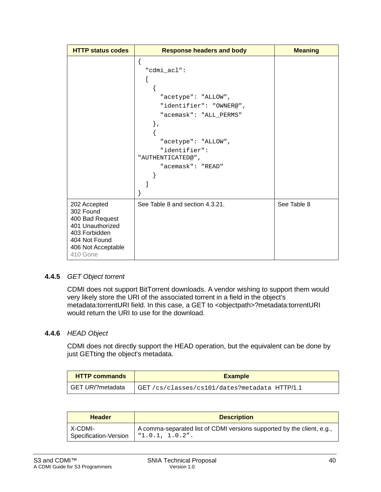| <b>HTTP status codes</b>                                                                                                             | <b>Response headers and body</b>                                                                                                                                                          | <b>Meaning</b> |
|--------------------------------------------------------------------------------------------------------------------------------------|-------------------------------------------------------------------------------------------------------------------------------------------------------------------------------------------|----------------|
|                                                                                                                                      | í<br>"cdmi_acl":<br>L<br>"acetype": "ALLOW",<br>"identifier": "OWNER@",<br>"acemask": "ALL_PERMS"<br>},<br>"acetype": "ALLOW",<br>"identifier":<br>"AUTHENTICATED@",<br>"acemask": "READ" |                |
| 202 Accepted<br>302 Found<br>400 Bad Request<br>401 Unauthorized<br>403 Forbidden<br>404 Not Found<br>406 Not Acceptable<br>410 Gone | See Table 8 and section 4.3.21.                                                                                                                                                           | See Table 8    |

#### **4.4.5** *GET Object torrent*

CDMI does not support BitTorrent downloads. A vendor wishing to support them would very likely store the URI of the associated torrent in a field in the object's metadata:torrentURI field. In this case, a GET to <objectpath>?metadata:torrentURI would return the URI to use for the download.

#### <span id="page-39-0"></span>**4.4.6** *HEAD Object*

CDMI does not directly support the HEAD operation, but the equivalent can be done by just GETting the object's metadata.

| <b>HTTP commands</b> | <b>Example</b>                                 |
|----------------------|------------------------------------------------|
| GET URI?metadata     | GET / cs/classes/cs101/dates?metadata HTTP/1.1 |

| <b>Header</b>         | <b>Description</b>                                                     |
|-----------------------|------------------------------------------------------------------------|
| X-CDMI-               | A comma-separated list of CDMI versions supported by the client, e.g., |
| Specification-Version | "1.0.1, 1.0.2".                                                        |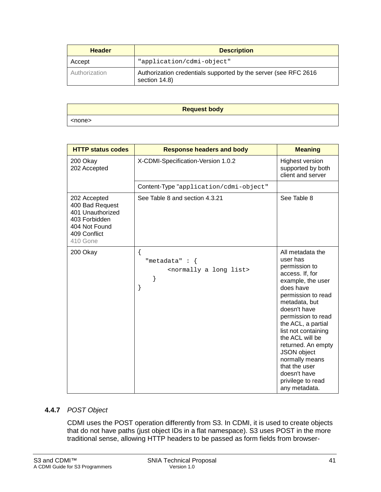| <b>Header</b> | <b>Description</b>                                                               |
|---------------|----------------------------------------------------------------------------------|
| Accept        | "application/cdmi-object"                                                        |
| Authorization | Authorization credentials supported by the server (see RFC 2616<br>section 14.8) |

| <b>Request body</b> |  |
|---------------------|--|
| <none></none>       |  |

| <b>HTTP status codes</b>                                                                                          | <b>Response headers and body</b>                                                 | <b>Meaning</b>                                                                                                                                                                                                                                                                                                                                                                |
|-------------------------------------------------------------------------------------------------------------------|----------------------------------------------------------------------------------|-------------------------------------------------------------------------------------------------------------------------------------------------------------------------------------------------------------------------------------------------------------------------------------------------------------------------------------------------------------------------------|
| 200 Okay<br>202 Accepted                                                                                          | X-CDMI-Specification-Version 1.0.2                                               | <b>Highest version</b><br>supported by both<br>client and server                                                                                                                                                                                                                                                                                                              |
|                                                                                                                   | Content-Type "application/cdmi-object"                                           |                                                                                                                                                                                                                                                                                                                                                                               |
| 202 Accepted<br>400 Bad Request<br>401 Unauthorized<br>403 Forbidden<br>404 Not Found<br>409 Conflict<br>410 Gone | See Table 8 and section 4.3.21                                                   | See Table 8                                                                                                                                                                                                                                                                                                                                                                   |
| 200 Okay                                                                                                          | {<br>"metadata" : $\{$<br><normally a="" list="" long=""><br/>}<br/>}</normally> | All metadata the<br>user has<br>permission to<br>access. If, for<br>example, the user<br>does have<br>permission to read<br>metadata, but<br>doesn't have<br>permission to read<br>the ACL, a partial<br>list not containing<br>the ACL will be<br>returned. An empty<br>JSON object<br>normally means<br>that the user<br>doesn't have<br>privilege to read<br>any metadata. |

#### **4.4.7** *POST Object*

CDMI uses the POST operation differently from S3. In CDMI, it is used to create objects that do not have paths (just object IDs in a flat namespace). S3 uses POST in the more traditional sense, allowing HTTP headers to be passed as form fields from browser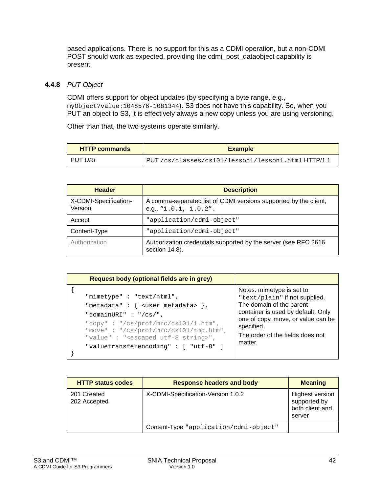based applications. There is no support for this as a CDMI operation, but a non-CDMI POST should work as expected, providing the cdmi post dataobject capability is present.

#### <span id="page-41-0"></span>**4.4.8** *PUT Object*

CDMI offers support for object updates (by specifying a byte range, e.g., myObject?value:1048576-1081344). S3 does not have this capability. So, when you PUT an object to S3, it is effectively always a new copy unless you are using versioning.

Other than that, the two systems operate similarly.

| <b>HTTP commands</b> | <b>Example</b>                                     |
|----------------------|----------------------------------------------------|
| I PUT <i>URI</i>     | PUT/cs/classes/cs101/lesson1/lesson1.html HTTP/1.1 |

| <b>Header</b>                    | <b>Description</b>                                                                               |
|----------------------------------|--------------------------------------------------------------------------------------------------|
| X-CDMI-Specification-<br>Version | A comma-separated list of CDMI versions supported by the client,<br>e.g., " $1.0.1$ , $1.0.2$ ". |
| Accept                           | "application/cdmi-object"                                                                        |
| Content-Type                     | "application/cdmi-object"                                                                        |
| Authorization                    | Authorization credentials supported by the server (see RFC 2616<br>section 14.8).                |

```
Request body (optional fields are in grey)
{
     "mimetype" : "text/html",
    "metadata" : \{ <user metadata> \}, "domainURI" : "/cs/",
     "copy" : "/cs/prof/mrc/cs101/1.htm",
      "move" : "/cs/prof/mrc/cs101/tmp.htm",
      "value" : "<escaped utf-8 string>",
      "valuetransferencoding" : [ "utf-8" ]
}
                                                      Notes: mimetype is set to 
                                                      "text/plain" if not supplied. 
                                                      The domain of the parent 
                                                      container is used by default. Only 
                                                      one of copy, move, or value can be 
                                                      specified.
                                                      The order of the fields does not 
                                                      matter.
```

| <b>HTTP status codes</b>    | <b>Response headers and body</b>       | <b>Meaning</b>                                                      |
|-----------------------------|----------------------------------------|---------------------------------------------------------------------|
| 201 Created<br>202 Accepted | X-CDMI-Specification-Version 1.0.2     | <b>Highest version</b><br>supported by<br>both client and<br>server |
|                             | Content-Type "application/cdmi-object" |                                                                     |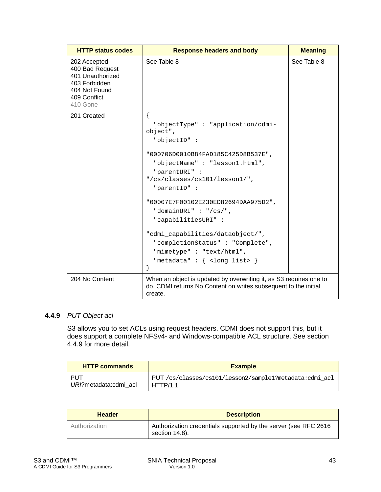| <b>HTTP status codes</b>                                                                                          | <b>Response headers and body</b>                                                                                                                                                                                                                                                                                                                                                                                                                                        | <b>Meaning</b> |
|-------------------------------------------------------------------------------------------------------------------|-------------------------------------------------------------------------------------------------------------------------------------------------------------------------------------------------------------------------------------------------------------------------------------------------------------------------------------------------------------------------------------------------------------------------------------------------------------------------|----------------|
| 202 Accepted<br>400 Bad Request<br>401 Unauthorized<br>403 Forbidden<br>404 Not Found<br>409 Conflict<br>410 Gone | See Table 8                                                                                                                                                                                                                                                                                                                                                                                                                                                             | See Table 8    |
| 201 Created                                                                                                       | ſ<br>"objectType": "application/cdmi-<br>object",<br>"objectID":<br>"000706D0010B84FAD185C425D8B537E",<br>"objectName": "lesson1.html",<br>"parentURI" :<br>"/cs/classes/cs101/lesson1/",<br>"parentID" :<br>"00007E7F00102E230ED82694DAA975D2",<br>"domainURI" : "/ $cs/$ ",<br>"capabilitiesURI":<br>"cdmi_capabilities/dataobject/",<br>"completionStatus": "Complete",<br>"mimetype": "text/html",<br>"metadata" : $\{$ <long list=""> <math>\}</math><br/>}</long> |                |
| 204 No Content                                                                                                    | When an object is updated by overwriting it, as S3 requires one to<br>do, CDMI returns No Content on writes subsequent to the initial<br>create.                                                                                                                                                                                                                                                                                                                        |                |

#### <span id="page-42-0"></span>**4.4.9** *PUT Object acl*

S3 allows you to set ACLs using request headers. CDMI does not support this, but it does support a complete NFSv4- and Windows-compatible ACL structure. See section [4.4.9](#page-42-0) for more detail.

| <b>HTTP commands</b>  | <b>Example</b>                                         |
|-----------------------|--------------------------------------------------------|
| PUT                   | PUT/cs/classes/cs101/lesson2/sample1?metadata:cdmi acl |
| URI?metadata:cdmi acl | HTTP/1.1                                               |

| <b>Header</b> | <b>Description</b>                                                                |
|---------------|-----------------------------------------------------------------------------------|
| Authorization | Authorization credentials supported by the server (see RFC 2616<br>section 14.8). |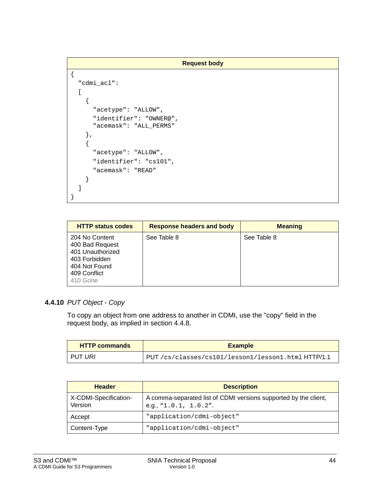```
Request body
{
   "cdmi_acl":
  \mathbf{r} {
        "acetype": "ALLOW",
        "identifier": "OWNER@",
        "acemask": "ALL_PERMS"
     },
     {
        "acetype": "ALLOW",
        "identifier": "cs101",
        "acemask": "READ"
     }
   ]
}
```

| <b>HTTP status codes</b>                                                                                            | <b>Response headers and body</b> | <b>Meaning</b> |
|---------------------------------------------------------------------------------------------------------------------|----------------------------------|----------------|
| 204 No Content<br>400 Bad Request<br>401 Unauthorized<br>403 Forbidden<br>404 Not Found<br>409 Conflict<br>410 Gone | See Table 8                      | See Table 8    |

#### **4.4.10** *PUT Object - Copy*

To copy an object from one address to another in CDMI, use the "copy" field in the request body, as implied in section [4.4.8.](#page-41-0)

| <b>HTTP commands</b> | <b>Example</b>                                      |
|----------------------|-----------------------------------------------------|
| ' PUT <i>URI</i>     | PUT /cs/classes/cs101/lesson1/lesson1.html HTTP/1.1 |

| <b>Header</b>                    | <b>Description</b>                                                                                  |
|----------------------------------|-----------------------------------------------------------------------------------------------------|
| X-CDMI-Specification-<br>Version | A comma-separated list of CDMI versions supported by the client,<br>e.g., $\text{N1.0.1}$ , 1.0.2". |
| Accept                           | "application/cdmi-object"                                                                           |
| Content-Type                     | "application/cdmi-object"                                                                           |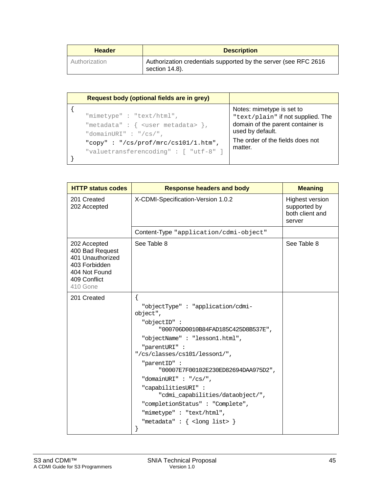| <b>Header</b> | <b>Description</b>                                                                |
|---------------|-----------------------------------------------------------------------------------|
| Authorization | Authorization credentials supported by the server (see RFC 2616<br>section 14.8). |

| Request body (optional fields are in grey)                                                                                                                                                                       |                                                                                                                                                                        |
|------------------------------------------------------------------------------------------------------------------------------------------------------------------------------------------------------------------|------------------------------------------------------------------------------------------------------------------------------------------------------------------------|
| "mimetype": "text/html",<br>"metadata" : $\{$ <user metadata=""> <math>\},</math><br/>"domainURI" : "/<math>cs/</math>",<br/>"copy": "/cs/prof/mrc/cs101/1.htm",<br/>"valuetransferencoding": [ "utf-8" ]</user> | Notes: mimetype is set to<br>"text/plain" if not supplied. The<br>domain of the parent container is<br>used by default.<br>The order of the fields does not<br>matter. |

| <b>HTTP status codes</b>                                                                                          | <b>Response headers and body</b>                              | <b>Meaning</b>                                                      |
|-------------------------------------------------------------------------------------------------------------------|---------------------------------------------------------------|---------------------------------------------------------------------|
| 201 Created<br>202 Accepted                                                                                       | X-CDMI-Specification-Version 1.0.2                            | <b>Highest version</b><br>supported by<br>both client and<br>server |
|                                                                                                                   | Content-Type "application/cdmi-object"                        |                                                                     |
| 202 Accepted<br>400 Bad Request<br>401 Unauthorized<br>403 Forbidden<br>404 Not Found<br>409 Conflict<br>410 Gone | See Table 8                                                   | See Table 8                                                         |
| 201 Created                                                                                                       | $\{$                                                          |                                                                     |
|                                                                                                                   | "objectType": "application/cdmi-<br>object",                  |                                                                     |
|                                                                                                                   | "objectID":<br>"000706D0010B84FAD185C425D8B537E",             |                                                                     |
|                                                                                                                   | "objectName": "lesson1.html",                                 |                                                                     |
|                                                                                                                   | "parentURI":<br>"/cs/classes/cs101/lesson1/",                 |                                                                     |
|                                                                                                                   | "parentID":<br>"00007E7F00102E230ED82694DAA975D2",            |                                                                     |
|                                                                                                                   | "domainURI" : "/ $cs/$ ",                                     |                                                                     |
|                                                                                                                   | "capabilitiesURI":<br>"cdmi_capabilities/dataobject/",        |                                                                     |
|                                                                                                                   | "completionStatus": "Complete",                               |                                                                     |
|                                                                                                                   | "mimetype": "text/html",                                      |                                                                     |
|                                                                                                                   | "metadata" : $\{$ <long list=""> <math>\}</math><br/>}</long> |                                                                     |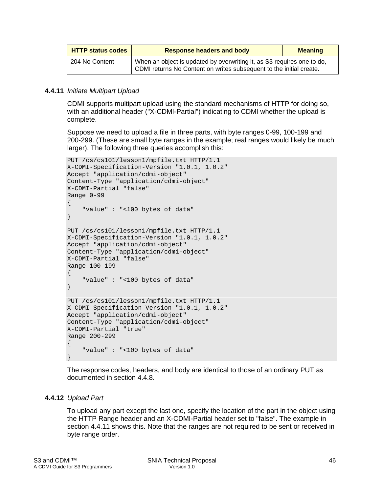| <b>HTTP status codes</b> | <b>Response headers and body</b>                                                                                                              | <b>Meaning</b> |
|--------------------------|-----------------------------------------------------------------------------------------------------------------------------------------------|----------------|
| 204 No Content           | When an object is updated by overwriting it, as S3 requires one to do,<br>CDMI returns No Content on writes subsequent to the initial create. |                |

#### <span id="page-45-0"></span>**4.4.11** *Initiate Multipart Upload*

CDMI supports multipart upload using the standard mechanisms of HTTP for doing so, with an additional header ("X-CDMI-Partial") indicating to CDMI whether the upload is complete.

Suppose we need to upload a file in three parts, with byte ranges 0-99, 100-199 and 200-299. (These are small byte ranges in the example; real ranges would likely be much larger). The following three queries accomplish this:

```
PUT /cs/cs101/lesson1/mpfile.txt HTTP/1.1
X-CDMI-Specification-Version "1.0.1, 1.0.2"
Accept "application/cdmi-object"
Content-Type "application/cdmi-object"
X-CDMI-Partial "false"
Range 0-99
\{ "value" : "<100 bytes of data"
}
PUT /cs/cs101/lesson1/mpfile.txt HTTP/1.1
X-CDMI-Specification-Version "1.0.1, 1.0.2"
Accept "application/cdmi-object"
Content-Type "application/cdmi-object"
X-CDMI-Partial "false"
Range 100-199
\{ "value" : "<100 bytes of data"
}
PUT /cs/cs101/lesson1/mpfile.txt HTTP/1.1
X-CDMI-Specification-Version "1.0.1, 1.0.2"
Accept "application/cdmi-object"
Content-Type "application/cdmi-object"
X-CDMI-Partial "true"
Range 200-299
{
     "value" : "<100 bytes of data"
}
```
The response codes, headers, and body are identical to those of an ordinary PUT as documented in section [4.4.8.](#page-41-0)

#### **4.4.12** *Upload Part*

To upload any part except the last one, specify the location of the part in the object using the HTTP Range header and an X-CDMI-Partial header set to "false". The example in section [4.4.11](#page-45-0) shows this. Note that the ranges are not required to be sent or received in byte range order.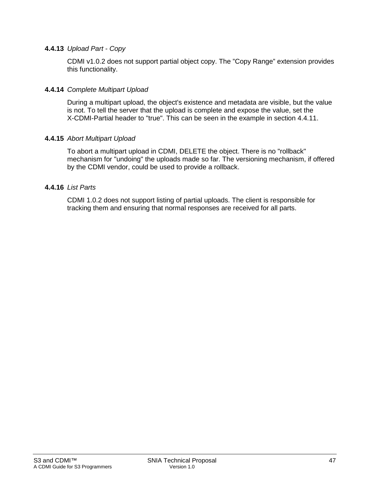#### **4.4.13** *Upload Part - Copy*

CDMI v1.0.2 does not support partial object copy. The "Copy Range" extension provides this functionality.

#### **4.4.14** *Complete Multipart Upload*

During a multipart upload, the object's existence and metadata are visible, but the value is not. To tell the server that the upload is complete and expose the value, set the X-CDMI-Partial header to "true". This can be seen in the example in section [4.4.11.](#page-45-0)

#### **4.4.15** *Abort Multipart Upload*

To abort a multipart upload in CDMI, DELETE the object. There is no "rollback" mechanism for "undoing" the uploads made so far. The versioning mechanism, if offered by the CDMI vendor, could be used to provide a rollback.

#### **4.4.16** *List Parts*

CDMI 1.0.2 does not support listing of partial uploads. The client is responsible for tracking them and ensuring that normal responses are received for all parts.